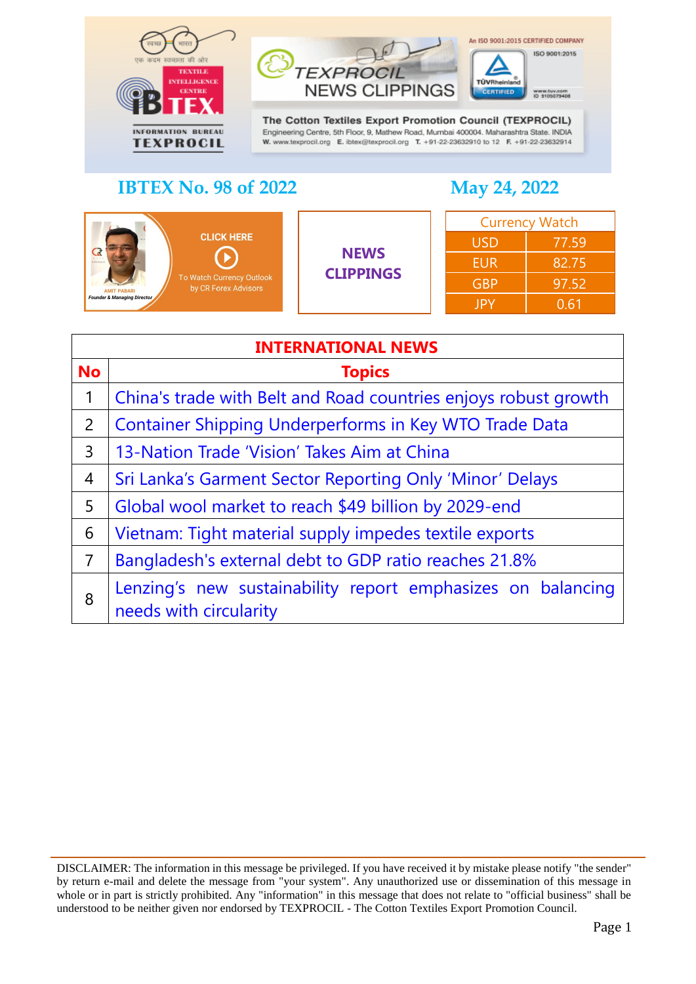



The Cotton Textiles Export Promotion Council (TEXPROCIL) Engineering Centre, 5th Floor, 9, Mathew Road, Mumbai 400004. Maharashtra State. INDIA W. www.texprocil.org E. ibtex@texprocil.org T. +91-22-23632910 to 12 F. +91-22-23632914

## **IBTEX No. 98 of 2022 May 24, 2022**

An ISO 9001:2015 CERTIFIED COMPANY

ISO 9001:2015

| <b>CLICK HERE</b><br><b>CREI ROLLY</b><br>To Watch Currency Outlook<br>by CR Forex Advisors<br><b>AMIT PABARI</b><br><b>Founder &amp; Managing Director</b> | <b>NEWS</b><br><b>CLIPPINGS</b> | <b>Currency Watch</b> |       |
|-------------------------------------------------------------------------------------------------------------------------------------------------------------|---------------------------------|-----------------------|-------|
|                                                                                                                                                             |                                 | <b>USD</b>            | 77.59 |
|                                                                                                                                                             |                                 | <b>EUR</b>            | 82.75 |
|                                                                                                                                                             |                                 | <b>GBP</b>            | 97.52 |
|                                                                                                                                                             |                                 | <b>JPY</b>            | 0.61  |

<span id="page-0-0"></span>

| <b>INTERNATIONAL NEWS</b> |                                                                                       |  |
|---------------------------|---------------------------------------------------------------------------------------|--|
| <b>No</b>                 | <b>Topics</b>                                                                         |  |
| $\mathbf{1}$              | China's trade with Belt and Road countries enjoys robust growth                       |  |
| $\overline{2}$            | <b>Container Shipping Underperforms in Key WTO Trade Data</b>                         |  |
| 3                         | 13-Nation Trade 'Vision' Takes Aim at China                                           |  |
| $\overline{4}$            | Sri Lanka's Garment Sector Reporting Only 'Minor' Delays                              |  |
| 5                         | Global wool market to reach \$49 billion by 2029-end                                  |  |
| 6                         | Vietnam: Tight material supply impedes textile exports                                |  |
| $\overline{7}$            | Bangladesh's external debt to GDP ratio reaches 21.8%                                 |  |
| 8                         | Lenzing's new sustainability report emphasizes on balancing<br>needs with circularity |  |

DISCLAIMER: The information in this message be privileged. If you have received it by mistake please notify "the sender" by return e-mail and delete the message from "your system". Any unauthorized use or dissemination of this message in whole or in part is strictly prohibited. Any "information" in this message that does not relate to "official business" shall be understood to be neither given nor endorsed by TEXPROCIL - The Cotton Textiles Export Promotion Council.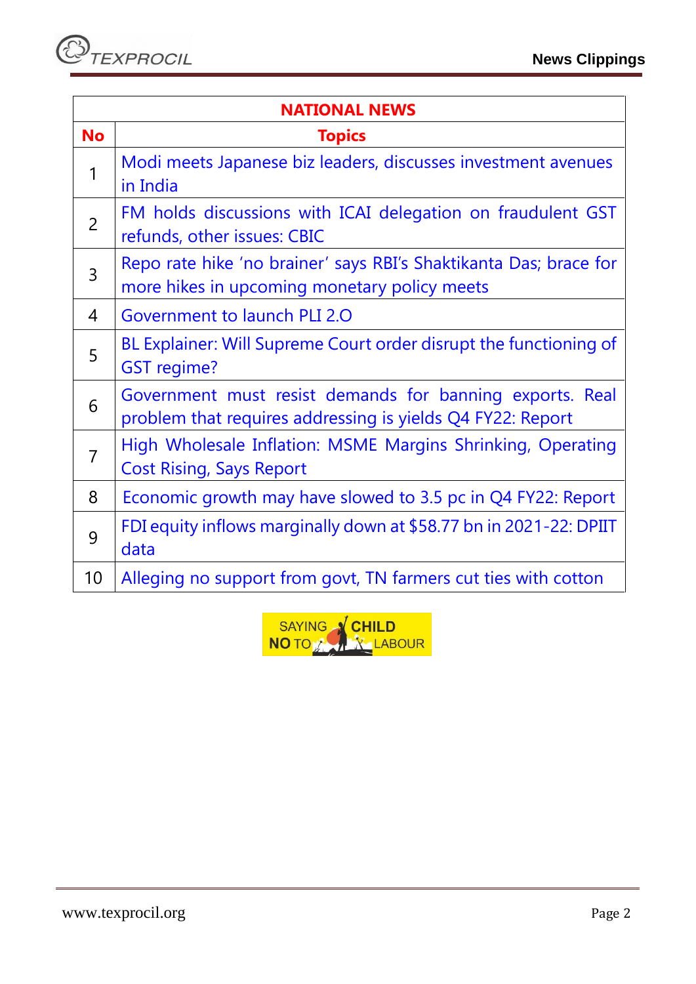| <b>NATIONAL NEWS</b> |                                                                                                                        |  |
|----------------------|------------------------------------------------------------------------------------------------------------------------|--|
| <b>No</b>            | <b>Topics</b>                                                                                                          |  |
| $\mathbf{1}$         | Modi meets Japanese biz leaders, discusses investment avenues<br>in India                                              |  |
| $\overline{2}$       | FM holds discussions with ICAI delegation on fraudulent GST<br>refunds, other issues: CBIC                             |  |
| $\overline{3}$       | Repo rate hike 'no brainer' says RBI's Shaktikanta Das; brace for<br>more hikes in upcoming monetary policy meets      |  |
| $\overline{4}$       | Government to launch PLI 2.0                                                                                           |  |
| 5                    | BL Explainer: Will Supreme Court order disrupt the functioning of<br><b>GST</b> regime?                                |  |
| 6                    | Government must resist demands for banning exports. Real<br>problem that requires addressing is yields Q4 FY22: Report |  |
| $\overline{7}$       | High Wholesale Inflation: MSME Margins Shrinking, Operating<br><b>Cost Rising, Says Report</b>                         |  |
| 8                    | Economic growth may have slowed to 3.5 pc in Q4 FY22: Report                                                           |  |
| 9                    | FDI equity inflows marginally down at \$58.77 bn in 2021-22: DPIIT<br>data                                             |  |
| 10                   | Alleging no support from govt, TN farmers cut ties with cotton                                                         |  |

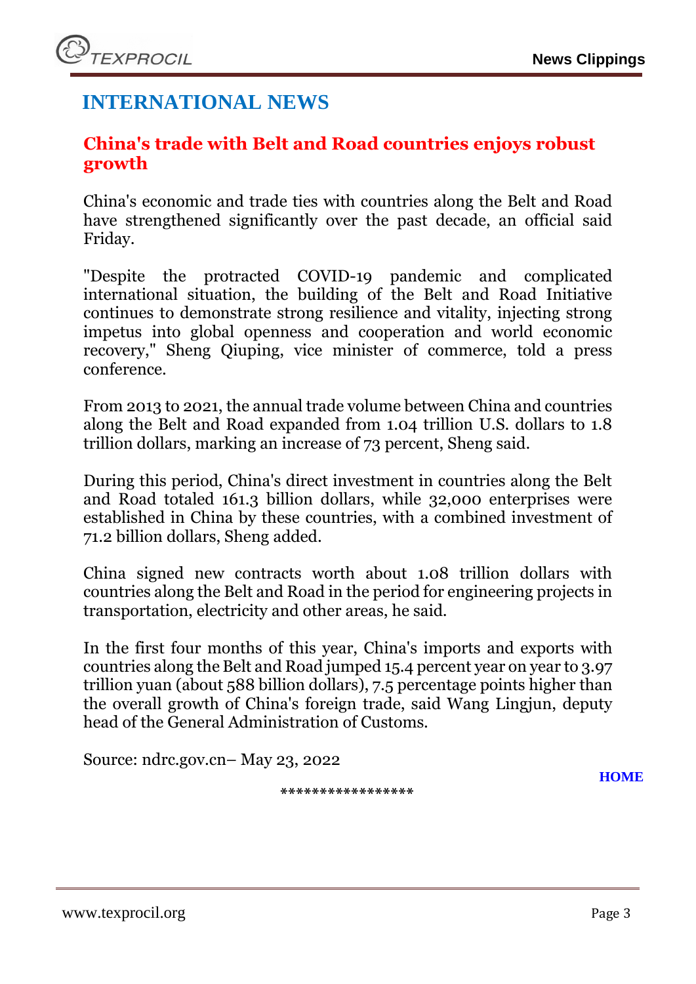# **INTERNATIONAL NEWS**

### <span id="page-2-0"></span>**China's trade with Belt and Road countries enjoys robust growth**

China's economic and trade ties with countries along the Belt and Road have strengthened significantly over the past decade, an official said Friday.

"Despite the protracted COVID-19 pandemic and complicated international situation, the building of the Belt and Road Initiative continues to demonstrate strong resilience and vitality, injecting strong impetus into global openness and cooperation and world economic recovery," Sheng Qiuping, vice minister of commerce, told a press conference.

From 2013 to 2021, the annual trade volume between China and countries along the Belt and Road expanded from 1.04 trillion U.S. dollars to 1.8 trillion dollars, marking an increase of 73 percent, Sheng said.

During this period, China's direct investment in countries along the Belt and Road totaled 161.3 billion dollars, while 32,000 enterprises were established in China by these countries, with a combined investment of 71.2 billion dollars, Sheng added.

China signed new contracts worth about 1.08 trillion dollars with countries along the Belt and Road in the period for engineering projects in transportation, electricity and other areas, he said.

In the first four months of this year, China's imports and exports with countries along the Belt and Road jumped 15.4 percent year on year to 3.97 trillion yuan (about 588 billion dollars), 7.5 percentage points higher than the overall growth of China's foreign trade, said Wang Lingjun, deputy head of the General Administration of Customs.

<span id="page-2-1"></span>Source: ndrc.gov.cn– May 23, 2022

**\*\*\*\*\*\*\*\*\*\*\*\*\*\*\*\*\***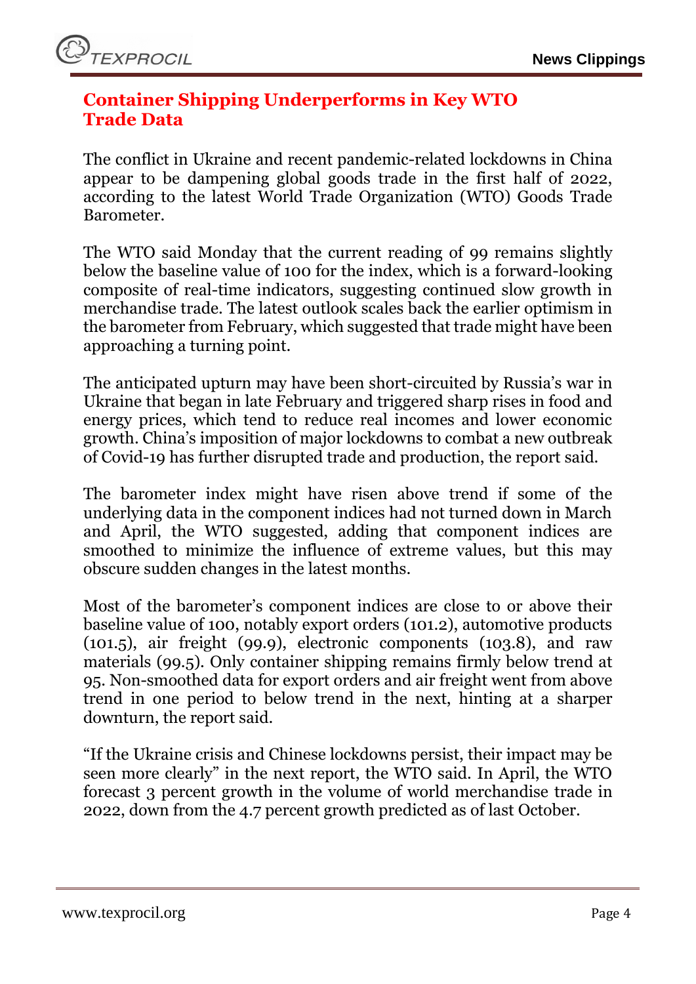## **Container Shipping Underperforms in Key WTO Trade Data**

The [conflict in Ukraine](https://sourcingjournal.com/topics/trade/wto-russia-ukraine-global-trade-recovery-338972/) and recent pandemic-related [lockdowns in China](https://sourcingjournal.com/topics/logistics/port-of-long-beach-mario-cordero-sustainability-rail-geopolitics-china-covid-342756/) appear to be dampening global goods trade in the first half of 2022, according to the latest World Trade Organization [\(WTO\)](https://sourcingjournal.com/tag/wto/) Goods Trade Barometer.

The WTO said Monday that the current reading of 99 remains slightly below the baseline value of 100 for the index, which is a forward-looking composite of real-time indicators, suggesting continued slow growth in merchandise trade. The latest outlook scales back the earlier optimism in the barometer from February, which suggested that trade might have been approaching a turning point.

The anticipated upturn may have been short-circuited by Russia's war in [Ukraine](https://sourcingjournal.com/tag/ukraine/) that began in late February and triggered sharp rises in food and energy prices, which tend to reduce real incomes and lower economic growth. China's imposition of major lockdowns to combat a new outbreak of Covid-19 has further disrupted trade and production, the report said.

The barometer index might have risen above trend if some of the underlying data in the component indices had not turned down in March and April, the WTO suggested, adding that component indices are smoothed to minimize the influence of extreme values, but this may obscure sudden changes in the latest months.

Most of the barometer's component indices are close to or above their baseline value of 100, notably export orders (101.2), automotive products  $(101.5)$ , air freight  $(99.9)$ , electronic components  $(103.8)$ , and raw materials (99.5). Only [container shipping](https://sourcingjournal.com/tag/container-shipping/) remains firmly below trend at 95. Non-smoothed data for export orders and air freight went from above trend in one period to below trend in the next, hinting at a sharper downturn, the report said.

"If the Ukraine crisis and Chinese lockdowns persist, their impact may be seen more clearly" in the next report, the WTO said. In April, the WTO forecast 3 percent growth in the volume of world merchandise trade in 2022, down from the 4.7 percent growth predicted as of last October.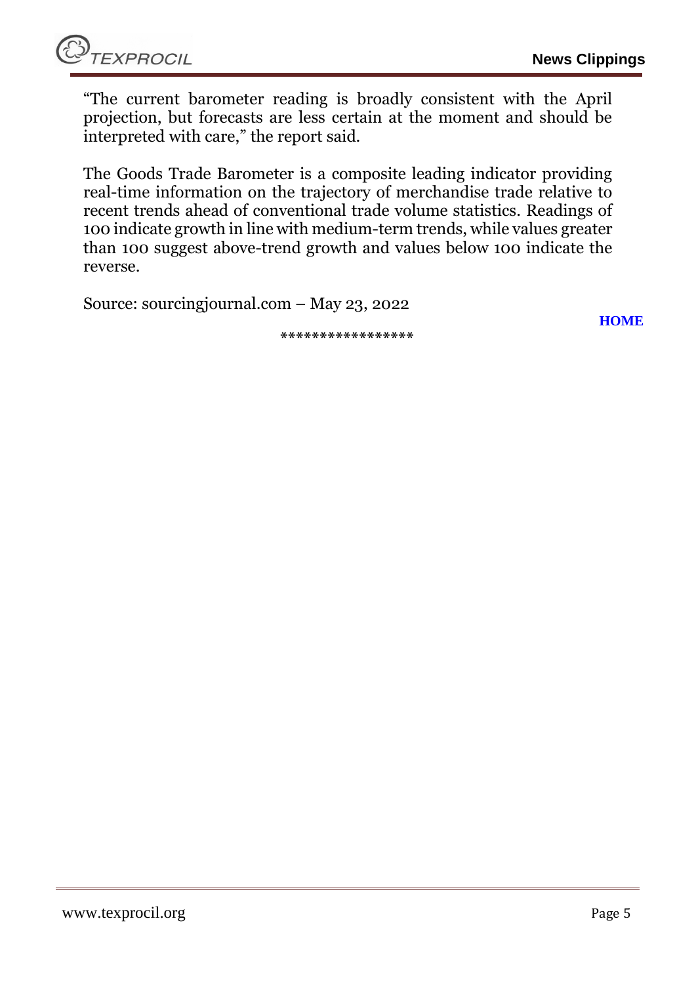"The current barometer reading is broadly consistent with the April projection, but forecasts are less certain at the moment and should be interpreted with care," the report said.

The Goods Trade Barometer is a composite leading indicator providing real-time information on the trajectory of merchandise trade relative to recent trends ahead of conventional trade volume statistics. Readings of 100 indicate growth in line with medium-term trends, while values greater than 100 suggest above-trend growth and values below 100 indicate the reverse.

Source: sourcingjournal.com – May 23, 2022

**\*\*\*\*\*\*\*\*\*\*\*\*\*\*\*\*\***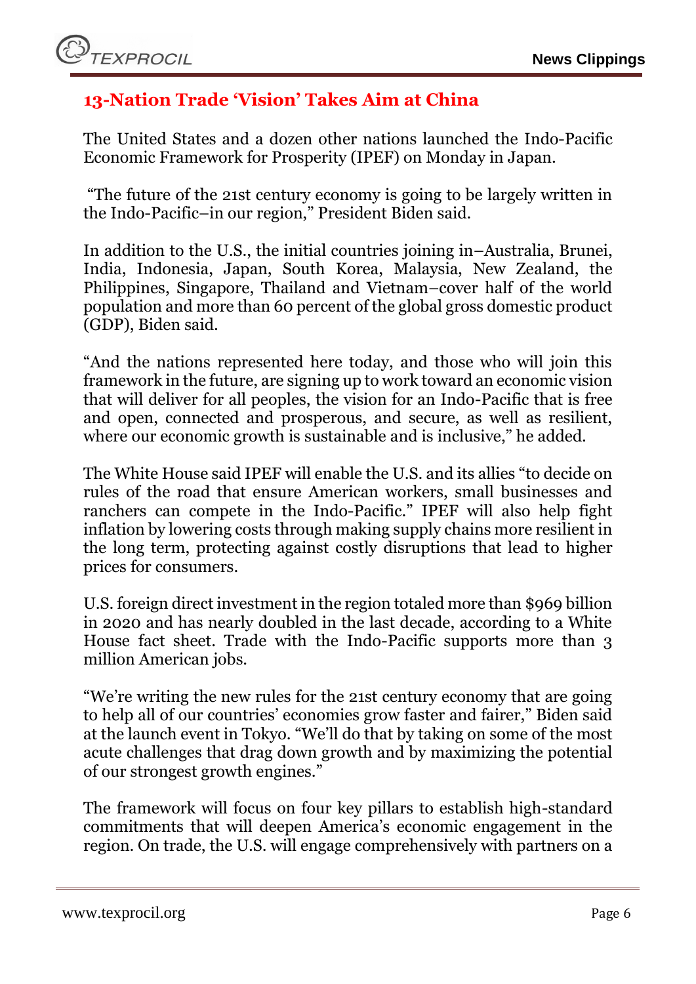## <span id="page-5-0"></span>**13-Nation Trade 'Vision' Takes Aim at China**

The United States and a dozen other nations launched the [Indo-Pacific](https://sourcingjournal.com/topics/trade/2021-year-in-trade-china-tariffs-biden-policies-ustr-flexport-agoa-asia-rcep-317573/) Economic Framework for Prosperity (IPEF) on Monday in Japan.

"The future of the 21st century economy is going to be largely written in the Indo-Pacific–in our region," [President Biden](https://sourcingjournal.com/topics/logistics/retailers-white-house-supply-chain-biden-rila-315699/) said.

In addition to the U.S., the initial countries joining in–Australia, Brunei, India, Indonesia, Japan, South Korea, Malaysia, New Zealand, the Philippines, Singapore, Thailand and Vietnam–cover half of the world population and more than 60 percent of the global gross domestic product (GDP), Biden said.

"And the nations represented here today, and those who will join this framework in the future, are signing up to work toward an economic vision that will deliver for all peoples, the vision for an Indo-Pacific that is free and open, connected and prosperous, and secure, as well as resilient, where our economic growth is sustainable and is inclusive," he added.

The White House said IPEF will enable the U.S. and its allies "to decide on rules of the road that ensure American workers, small businesses and ranchers can compete in the Indo-Pacific." IPEF will also help fight [inflation](https://sourcingjournal.com/market-data/apparel-data/retail-apparel-prices-inflation-fed-adobe-biden-april-2022-344152/) by lowering costs through making supply chains more resilient in the long term, protecting against costly disruptions that lead to higher prices for consumers.

U.S. foreign direct investment in the region totaled more than \$969 billion in 2020 and has nearly doubled in the last decade, according to a White House fact sheet. Trade with the Indo-Pacific supports more than 3 million American jobs.

"We're writing the new rules for the 21st century economy that are going to help all of our countries' economies grow faster and fairer," Biden said at the launch event in Tokyo. "We'll do that by taking on some of the most acute challenges that drag down growth and by maximizing the potential of our strongest growth engines."

The framework will focus on four key pillars to establish high-standard commitments that will deepen America's economic engagement in the region. On trade, the U.S. will engage comprehensively with partners on a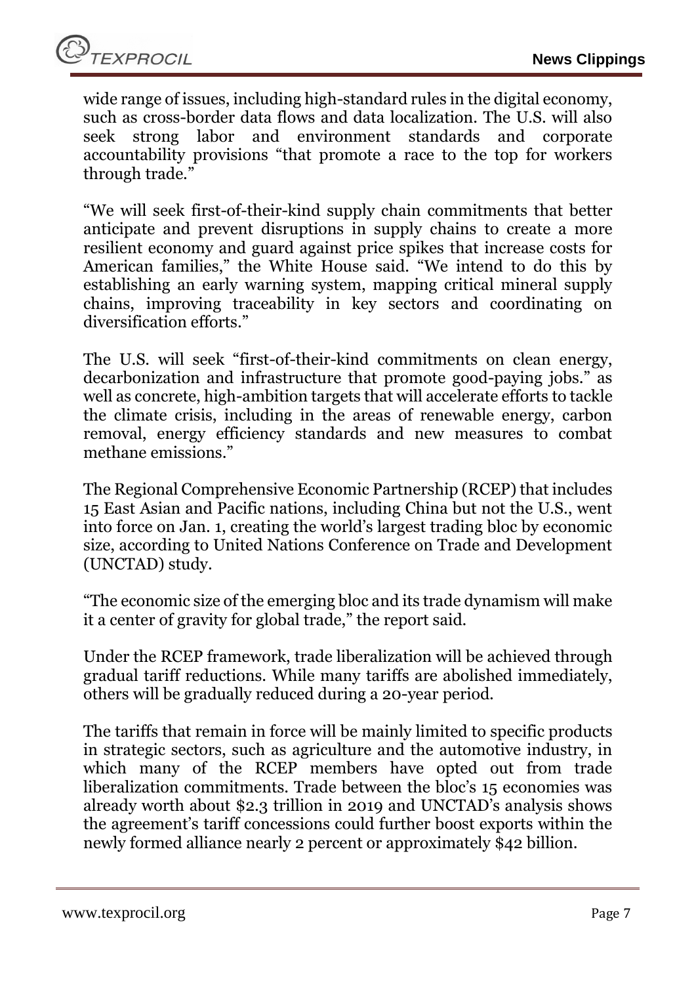wide range of issues, including high-standard rules in the digital economy, such as cross-border data flows and data localization. The U.S. will also seek strong labor and environment standards and corporate accountability provisions "that promote a race to the top for workers through trade."

"We will seek first-of-their-kind supply chain commitments that better anticipate and prevent disruptions in supply chains to create a more resilient economy and guard against price spikes that increase costs for American families," the White House said. "We intend to do this by establishing an early warning system, mapping critical mineral supply chains, improving traceability in key sectors and coordinating on diversification efforts."

The U.S. will seek "first-of-their-kind commitments on clean energy, decarbonization and infrastructure that promote good-paying jobs." as well as concrete, high-ambition targets that will accelerate efforts to tackle the climate crisis, including in the areas of renewable energy, carbon removal, energy efficiency standards and new measures to combat methane emissions."

The Regional Comprehensive Economic Partnership [\(RCEP\)](https://sourcingjournal.com/tag/rcep/) that includes 15 East Asian and Pacific nations, including China but not the U.S., went into force on Jan. 1, creating the world's largest trading bloc by economic size, according to United Nations Conference on Trade and Development [\(UNCTAD\)](https://sourcingjournal.com/tag/unctad/) study.

"The economic size of the emerging bloc and its trade dynamism will make it a center of gravity for global trade," the report said.

Under the RCEP framework, trade liberalization will be achieved through gradual tariff reductions. While many [tariffs](https://sourcingjournal.com/tag/tariffs/) are abolished immediately, others will be gradually reduced during a 20-year period.

The tariffs that remain in force will be mainly limited to specific products in strategic sectors, such as agriculture and the automotive industry, in which many of the RCEP members have opted out from trade liberalization commitments. Trade between the bloc's 15 economies was already worth about \$2.3 trillion in 2019 and UNCTAD's analysis shows the agreement's tariff concessions could further boost exports within the newly formed alliance nearly 2 percent or approximately \$42 billion.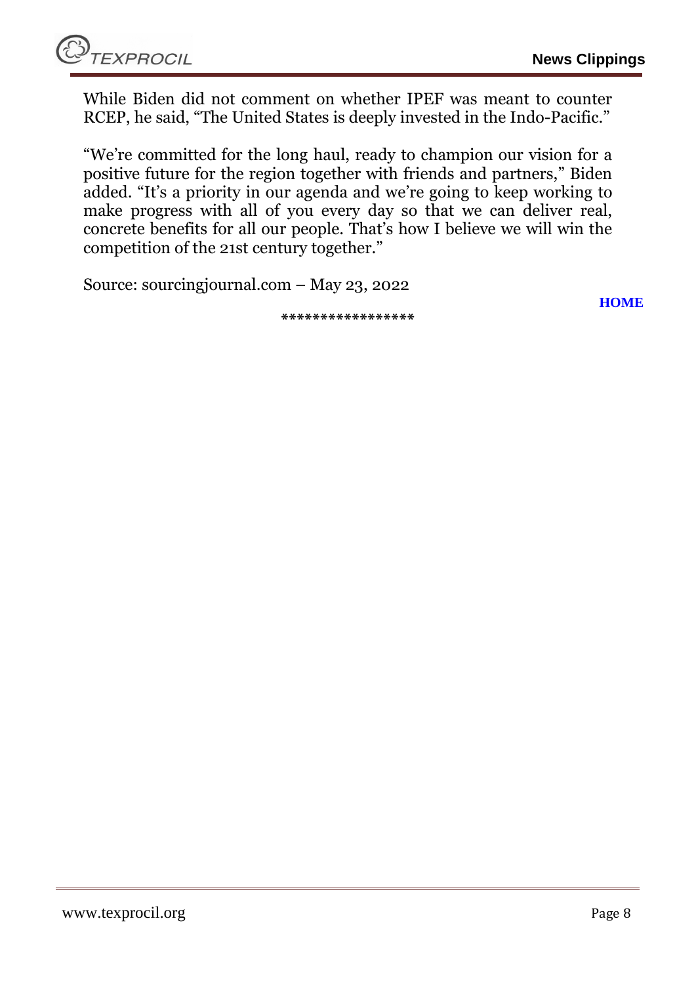While Biden did not comment on whether IPEF was meant to counter RCEP, he said, "The United States is deeply invested in the Indo-Pacific."

"We're committed for the long haul, ready to champion our vision for a positive future for the region together with friends and partners," Biden added. "It's a priority in our agenda and we're going to keep working to make progress with all of you every day so that we can deliver real, concrete benefits for all our people. That's how I believe we will win the competition of the 21st century together."

Source: sourcingjournal.com – May 23, 2022

**[HOME](#page-0-0)**

**\*\*\*\*\*\*\*\*\*\*\*\*\*\*\*\*\***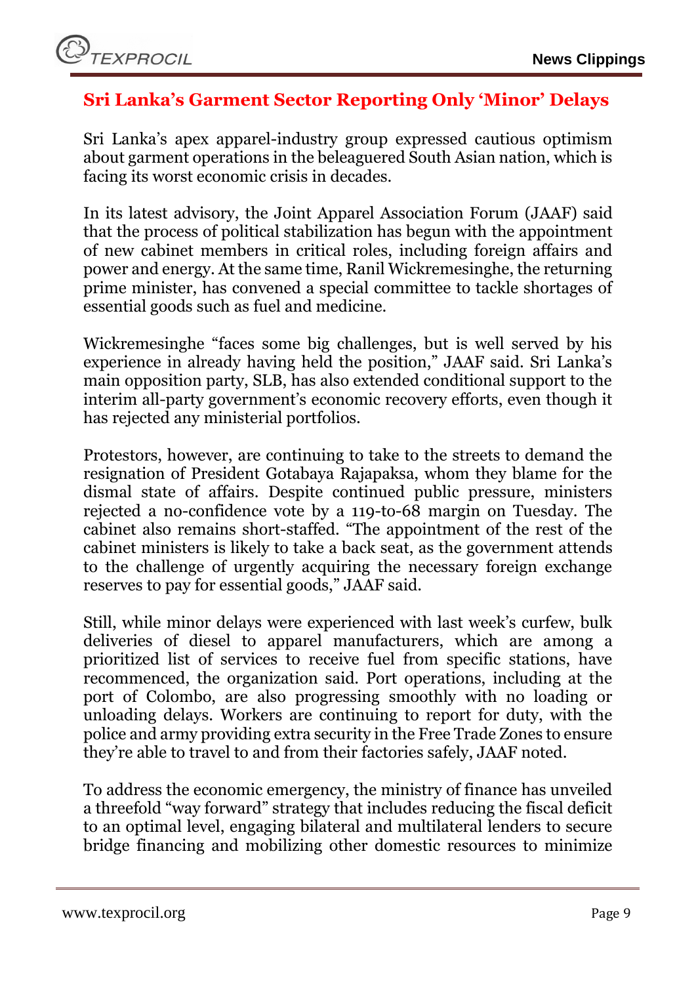## <span id="page-8-0"></span>**Sri Lanka's Garment Sector Reporting Only 'Minor' Delays**

[Sri Lanka](https://sourcingjournal.com/tag/sri-lanka/)'s apex apparel-industry group expressed cautious optimism about garment operations in the beleaguered South Asian nation, which is facing its [worst economic crisis](https://sourcingjournal.com/topics/sourcing/sri-lanka-crisis-bangladesh-joint-apparel-association-forum-brandix-344735/) in decades.

In its latest advisory, the [Joint Apparel Association Forum](https://sourcingjournal.com/tag/joint-apparel-association-forum/) (JAAF) said that the process of political stabilization has begun with the appointment of new cabinet members in critical roles, including foreign affairs and power and energy. At the same time, Ranil Wickremesinghe, the returning prime minister, has convened a special committee to tackle shortages of essential goods such as fuel and medicine.

Wickremesinghe "faces some big challenges, but is well served by his experience in already having held the position," JAAF said. Sri Lanka's main opposition party, SLB, has also extended conditional support to the interim all-party government's economic recovery efforts, even though it has rejected any ministerial portfolios.

Protestors, however, are continuing to take to the streets to demand the resignation of President Gotabaya Rajapaksa, whom they blame for the dismal state of affairs. Despite continued public pressure, ministers rejected a no-confidence vote by a 119-to-68 margin on Tuesday. The cabinet also remains short-staffed. "The appointment of the rest of the cabinet ministers is likely to take a back seat, as the government attends to the challenge of urgently acquiring the necessary foreign exchange reserves to pay for essential goods," JAAF said.

Still, while minor delays were experienced with last week's curfew, bulk deliveries of diesel to apparel manufacturers, which are among a prioritized list of services to receive fuel from specific stations, have recommenced, the organization said. Port operations, including at the port of Colombo, are also progressing smoothly with no loading or unloading delays. Workers are continuing to report for duty, with the police and army providing extra security in the Free Trade Zones to ensure they're able to travel to and from their factories safely, JAAF noted.

To address the economic emergency, the ministry of finance has unveiled a threefold "way forward" strategy that includes reducing the fiscal deficit to an optimal level, engaging bilateral and multilateral lenders to secure bridge financing and mobilizing other domestic resources to minimize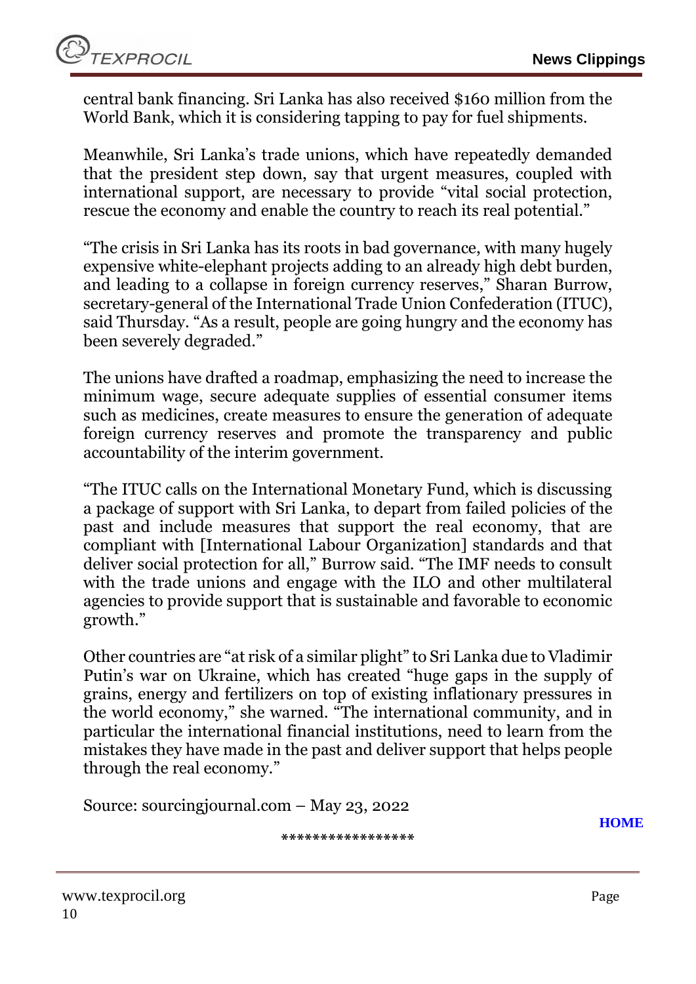central bank financing. Sri Lanka has also received \$160 million from the World Bank, which it is considering tapping to pay for fuel shipments.

Meanwhile, Sri Lanka's trade unions, which have repeatedly demanded that the president step down, say that urgent measures, coupled with international support, are necessary to provide "vital social protection, rescue the economy and enable the country to reach its real potential."

"The crisis in Sri Lanka has its roots in bad governance, with many hugely expensive white-elephant projects adding to an already high debt burden, and leading to a collapse in foreign currency reserves," Sharan Burrow, secretary-general of the International Trade Union Confederation [\(ITUC\)](https://sourcingjournal.com/tag/ituc/), said Thursday. "As a result, people are going hungry and the economy has been severely degraded."

The unions have drafted a roadmap, emphasizing the need to increase the minimum wage, secure adequate supplies of essential consumer items such as medicines, create measures to ensure the generation of adequate foreign currency reserves and promote the transparency and public accountability of the interim government.

"The ITUC calls on the International Monetary Fund, which is discussing a package of support with Sri Lanka, to depart from failed policies of the past and include measures that support the real economy, that are compliant with [International Labour Organization] standards and that deliver social protection for all," Burrow said. "The IMF needs to consult with the trade unions and engage with the ILO and other multilateral agencies to provide support that is sustainable and favorable to economic growth."

Other countries are "at risk of a similar plight" to Sri Lanka due to Vladimir Putin's [war on Ukraine](https://sourcingjournal.com/topics/sourcing/supply-chain-shifts-asian-trade-covid-lockdown-russia-ukraine-341455/), which has created "huge gaps in the supply of grains, energy and fertilizers on top of existing inflationary pressures in the world economy," she warned. "The international community, and in particular the international financial institutions, need to learn from the mistakes they have made in the past and deliver support that helps people through the real economy."

Source: sourcingjournal.com – May 23, 2022

**\*\*\*\*\*\*\*\*\*\*\*\*\*\*\*\*\***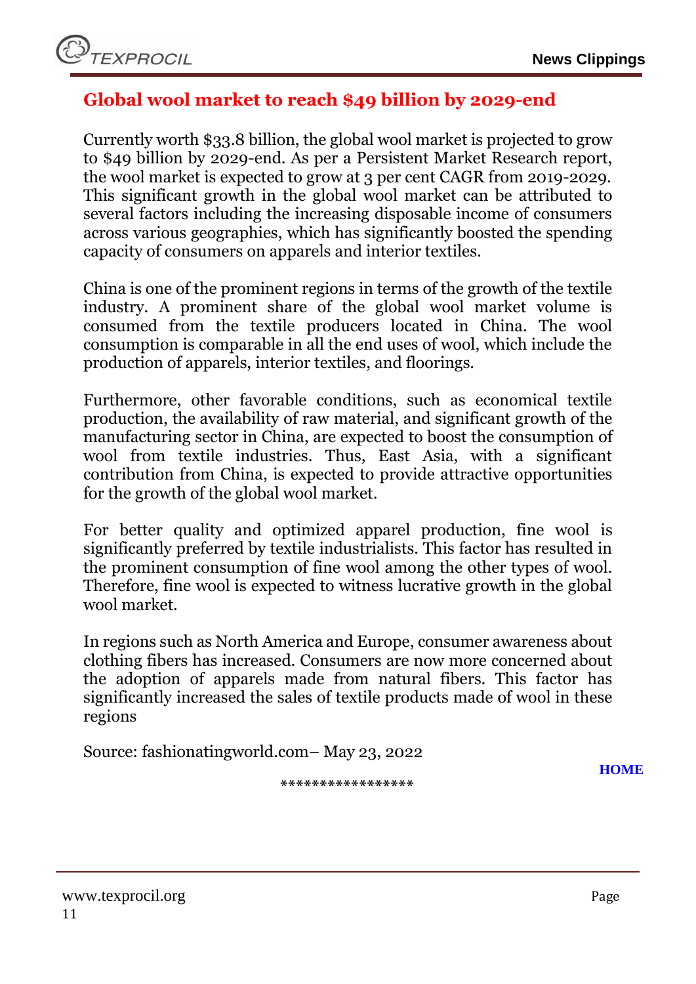

## <span id="page-10-0"></span>**Global wool market to reach \$49 billion by 2029-end**

Currently worth \$33.8 billion, the global wool market is projected to grow to \$49 billion by 2029-end. As per a Persistent Market Research report, the wool market is expected to grow at 3 per cent CAGR from 2019-2029. This significant growth in the global wool market can be attributed to several factors including the increasing disposable income of consumers across various geographies, which has significantly boosted the spending capacity of consumers on apparels and interior textiles.

China is one of the prominent regions in terms of the growth of the textile industry. A prominent share of the global wool market volume is consumed from the textile producers located in China. The wool consumption is comparable in all the end uses of wool, which include the production of apparels, interior textiles, and floorings.

Furthermore, other favorable conditions, such as economical textile production, the availability of raw material, and significant growth of the manufacturing sector in China, are expected to boost the consumption of wool from textile industries. Thus, East Asia, with a significant contribution from China, is expected to provide attractive opportunities for the growth of the global wool market.

For better quality and optimized apparel production, fine wool is significantly preferred by textile industrialists. This factor has resulted in the prominent consumption of fine wool among the other types of wool. Therefore, fine wool is expected to witness lucrative growth in the global wool market.

In regions such as North America and Europe, consumer awareness about clothing fibers has increased. Consumers are now more concerned about the adoption of apparels made from natural fibers. This factor has significantly increased the sales of textile products made of wool in these regions

Source: fashionatingworld.com– May 23, 2022

**[HOME](#page-0-0)**

**\*\*\*\*\*\*\*\*\*\*\*\*\*\*\*\*\***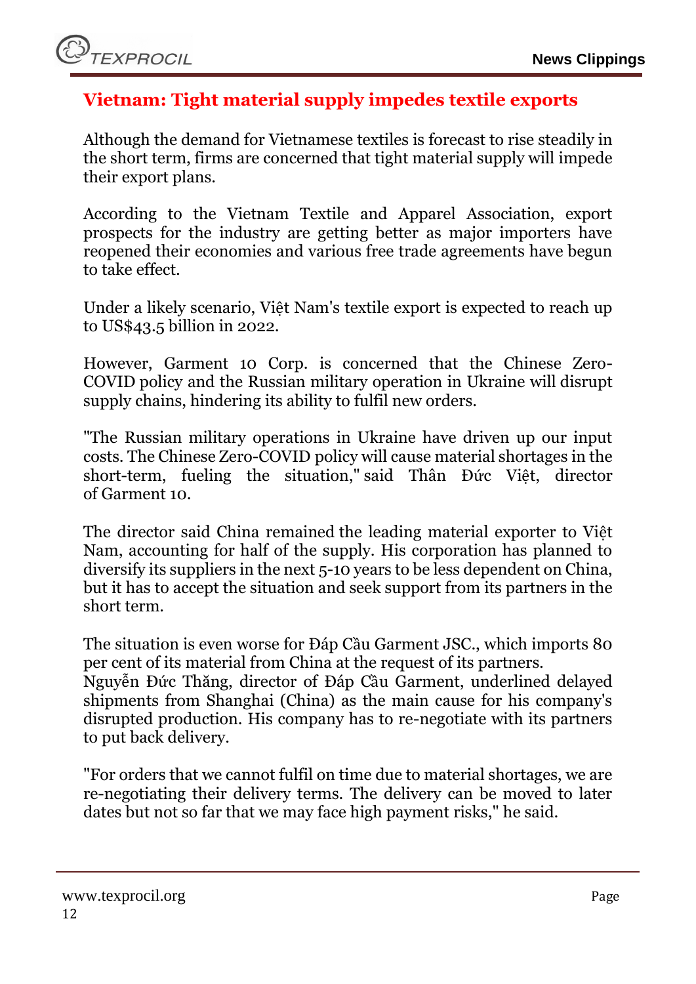## <span id="page-11-0"></span>**Vietnam: Tight material supply impedes textile exports**

Although the demand for Vietnamese textiles is forecast to rise steadily in the short term, firms are concerned that tight material supply will impede their export plans.

According to the Vietnam Textile and Apparel Association, export prospects for the industry are getting better as major importers have reopened their economies and various free trade agreements have begun to take effect.

Under a likely scenario, Việt Nam's textile export is expected to reach up to US\$43.5 billion in 2022.

However, Garment 10 Corp. is concerned that the Chinese Zero-COVID policy and the Russian military operation in Ukraine will disrupt supply chains, hindering its ability to fulfil new orders.

"The Russian military operations in Ukraine have driven up our input costs. The Chinese Zero-COVID policy will cause material shortages in the short-term, fueling the situation," said Thân Đức Việt, director of Garment 10.

The director said China remained the leading material exporter to Việt Nam, accounting for half of the supply. His corporation has planned to diversify its suppliers in the next 5-10 years to be less dependent on China, but it has to accept the situation and seek support from its partners in the short term.

The situation is even worse for Đáp Cầu Garment JSC., which imports 80 per cent of its material from China at the request of its partners.

Nguyễn Đức Thăng, director of Đáp Cầu Garment, underlined delayed shipments from Shanghai (China) as the main cause for his company's disrupted production. His company has to re-negotiate with its partners to put back delivery.

"For orders that we cannot fulfil on time due to material shortages, we are re-negotiating their delivery terms. The delivery can be moved to later dates but not so far that we may face high payment risks," he said.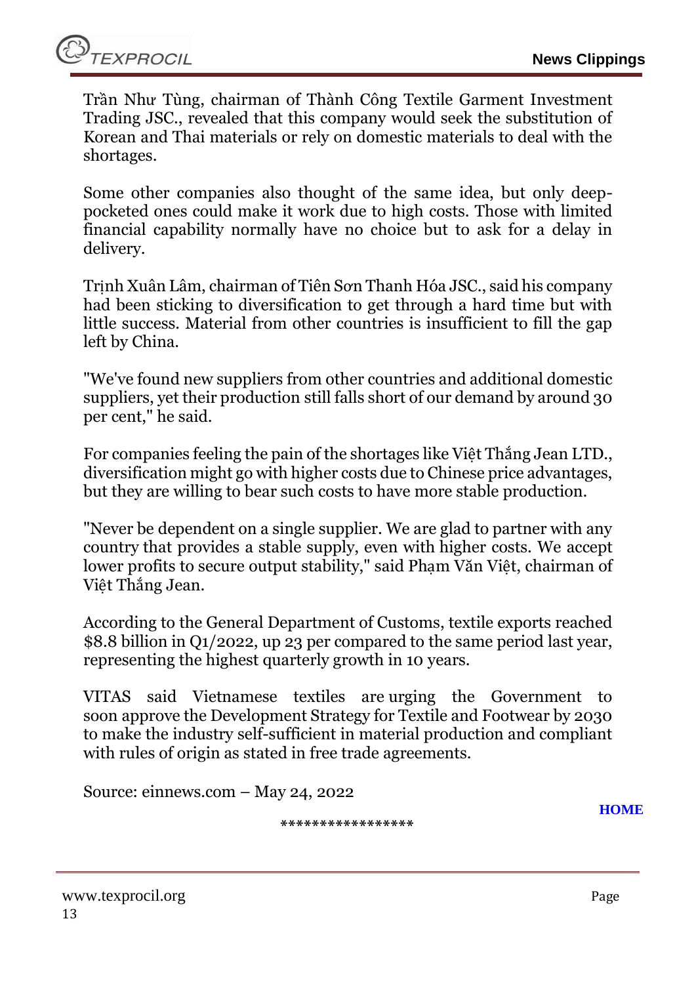Trần Như Tùng, chairman of Thành Công Textile Garment Investment Trading JSC., revealed that this company would seek the substitution of Korean and Thai materials or rely on domestic materials to deal with the shortages.

Some other companies also thought of the same idea, but only deeppocketed ones could make it work due to high costs. Those with limited financial capability normally have no choice but to ask for a delay in delivery.

Trịnh Xuân Lâm, chairman of Tiên Sơn Thanh Hóa JSC., said his company had been sticking to diversification to get through a hard time but with little success. Material from other countries is insufficient to fill the gap left by China.

"We've found new suppliers from other countries and additional domestic suppliers, yet their production still falls short of our demand by around 30 per cent," he said.

For companies feeling the pain of the shortages like Việt Thắng Jean LTD., diversification might go with higher costs due to Chinese price advantages, but they are willing to bear such costs to have more stable production.

"Never be dependent on a single supplier. We are glad to partner with any country that provides a stable supply, even with higher costs. We accept lower profits to secure output stability," said Phạm Văn Việt, chairman of Việt Thắng Jean.

According to the General Department of Customs, textile exports reached \$8.8 billion in Q1/2022, up 23 per compared to the same period last year, representing the highest quarterly growth in 10 years.

VITAS said Vietnamese textiles are urging the Government to soon approve the Development Strategy for Textile and Footwear by 2030 to make the industry self-sufficient in material production and compliant with rules of origin as stated in free trade agreements.

Source: einnews.com – May 24, 2022

**\*\*\*\*\*\*\*\*\*\*\*\*\*\*\*\*\***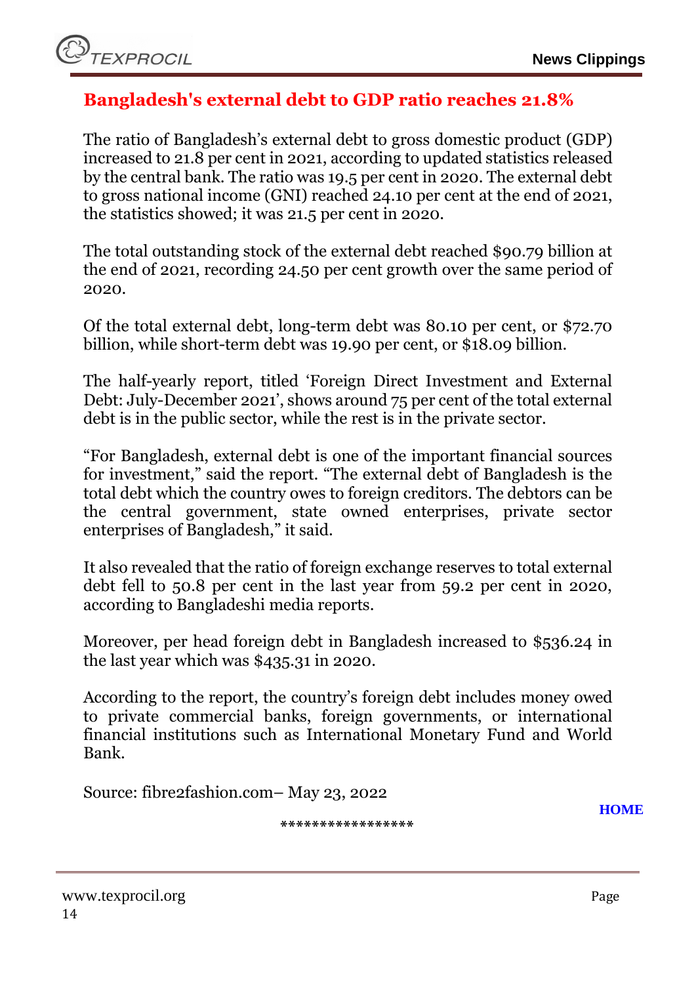## <span id="page-13-0"></span>**Bangladesh's external debt to GDP ratio reaches 21.8%**

The ratio of [Bangladesh's external debt](https://www.fibre2fashion.com/news/apparel-news/bangladesh-economy-recovered-from-covid-but-faces-new-headwinds-wb-280111-newsdetails.htm?utm_source=f2f&utm_medium=Content&utm_campaign=Interlinking) to gross domestic product (GDP) increased to 21.8 per cent in 2021, according to updated statistics released by the central bank. The ratio was 19.5 per cent in 2020. The external debt to gross national income (GNI) reached 24.10 per cent at the end of 2021, the statistics showed; it was 21.5 per cent in 2020.

The total outstanding stock of the external debt reached \$90.79 billion at the end of 2021, recording 24.50 per cent growth over the same period of 2020.

Of the total external debt, long-term debt was 80.10 per cent, or \$72.70 billion, while short-term debt was 19.90 per cent, or \$18.09 billion.

The half-yearly report, titled 'Foreign Direct Investment and External Debt: July-December 2021', shows around 75 per cent of the total external debt is in the public sector, while the rest is in the private sector.

"For Bangladesh, external debt is one of the important financial sources for investment," said the report. "The external debt of Bangladesh is the total debt which the country owes to foreign creditors. The debtors can be the central government, state owned enterprises, private sector enterprises of Bangladesh," it said.

It also revealed that the ratio of foreign exchange reserves to total external debt fell to 50.8 per cent in the last year from 59.2 per cent in 2020, according to Bangladeshi media reports.

Moreover, per head foreign debt in Bangladesh increased to \$536.24 in the last year which was \$435.31 in 2020.

According to the report, the [country's foreign debt](https://www.fibre2fashion.com/news/textile-news/moody-s-affirms-bangladesh-s-rating-at-ba3-outlook-stable-279800-newsdetails.htm?utm_source=f2f&utm_medium=Content&utm_campaign=Interlinking) includes money owed to private commercial banks, foreign governments, or international financial institutions such as International Monetary Fund and World Bank.

Source: fibre2fashion.com– May 23, 2022

**[HOME](#page-0-0)**

**\*\*\*\*\*\*\*\*\*\*\*\*\*\*\*\*\***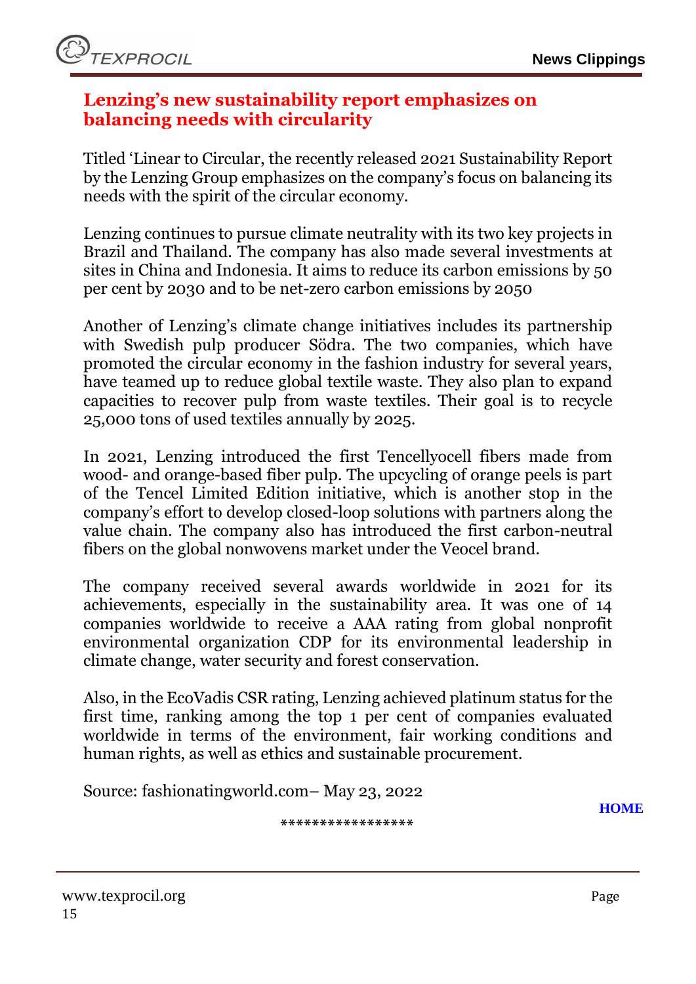

#### <span id="page-14-0"></span>**Lenzing's new sustainability report emphasizes on balancing needs with circularity**

Titled 'Linear to Circular, the recently released 2021 Sustainability Report by the Lenzing Group emphasizes on the company's focus on balancing its needs with the spirit of the circular economy.

Lenzing continues to pursue climate neutrality with its two key projects in Brazil and Thailand. The company has also made several investments at sites in China and Indonesia. It aims to reduce its carbon emissions by 50 per cent by 2030 and to be net-zero carbon emissions by 2050

Another of Lenzing's climate change initiatives includes its partnership with Swedish pulp producer Södra. The two companies, which have promoted the circular economy in the fashion industry for several years, have teamed up to reduce global textile waste. They also plan to expand capacities to recover pulp from waste textiles. Their goal is to recycle 25,000 tons of used textiles annually by 2025.

In 2021, Lenzing introduced the first Tencellyocell fibers made from wood- and orange-based fiber pulp. The upcycling of orange peels is part of the Tencel Limited Edition initiative, which is another stop in the company's effort to develop closed-loop solutions with partners along the value chain. The company also has introduced the first carbon-neutral fibers on the global nonwovens market under the Veocel brand.

The company received several awards worldwide in 2021 for its achievements, especially in the sustainability area. It was one of 14 companies worldwide to receive a AAA rating from global nonprofit environmental organization CDP for its environmental leadership in climate change, water security and forest conservation.

Also, in the EcoVadis CSR rating, Lenzing achieved platinum status for the first time, ranking among the top 1 per cent of companies evaluated worldwide in terms of the environment, fair working conditions and human rights, as well as ethics and sustainable procurement.

Source: fashionatingworld.com– May 23, 2022

**[HOME](#page-0-0)**

**\*\*\*\*\*\*\*\*\*\*\*\*\*\*\*\*\***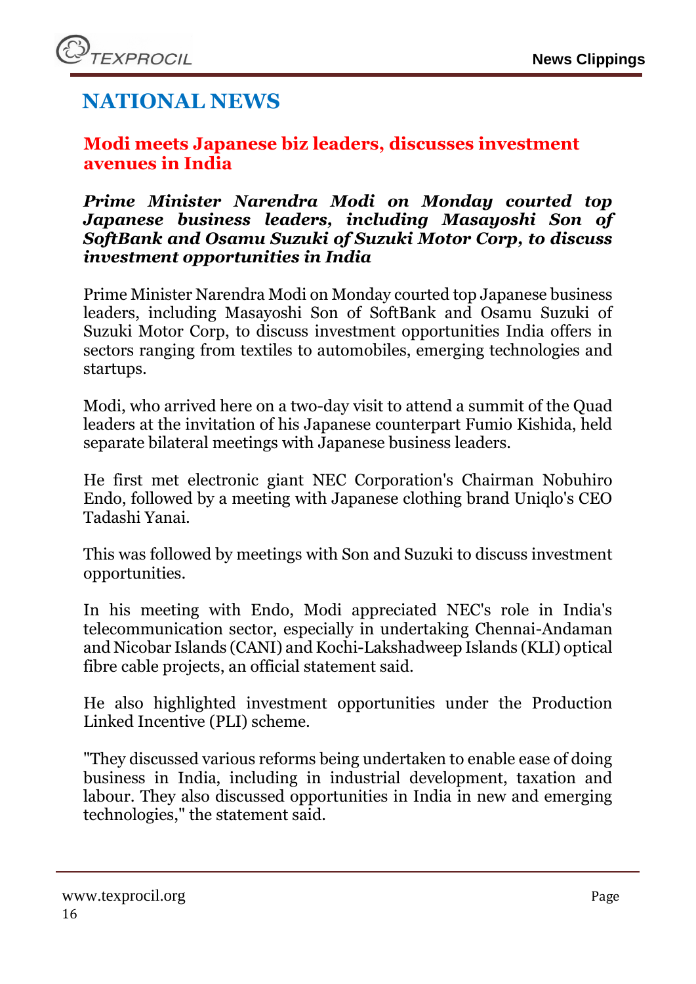# **NATIONAL NEWS**

## <span id="page-15-0"></span>**Modi meets Japanese biz leaders, discusses investment avenues in India**

#### *Prime Minister Narendra Modi on Monday courted top Japanese business leaders, including Masayoshi Son of SoftBank and Osamu Suzuki of Suzuki Motor Corp, to discuss investment opportunities in India*

Prime Minister [Narendra Modi](https://www.business-standard.com/topic/narendra-modi) on Monday courted top Japanese business leaders, including Masayoshi Son of SoftBank and Osamu Suzuki of Suzuki Motor Corp, to discuss investment opportunities India offers in sectors ranging from textiles to automobiles, emerging technologies and startups.

Modi, who arrived here on a two-day visit to attend a summit of the Quad leaders at the invitation of his Japanese counterpart Fumio Kishida, held separate bilateral meetings with Japanese business leaders.

He first met electronic giant NEC Corporation's Chairman Nobuhiro Endo, followed by a meeting with Japanese clothing brand Uniqlo's CEO Tadashi Yanai.

This was followed by meetings with Son and Suzuki to discuss investment opportunities.

In his meeting with Endo, Modi appreciated NEC's role in India's telecommunication sector, especially in undertaking Chennai-Andaman and Nicobar Islands (CANI) and Kochi-Lakshadweep Islands (KLI) optical fibre cable projects, an official statement said.

He also highlighted investment opportunities under the Production Linked Incentive (PLI) scheme.

"They discussed various reforms being undertaken to enable ease of doing business in India, including in industrial development, taxation and labour. They also discussed opportunities in India in new and emerging technologies," the statement said.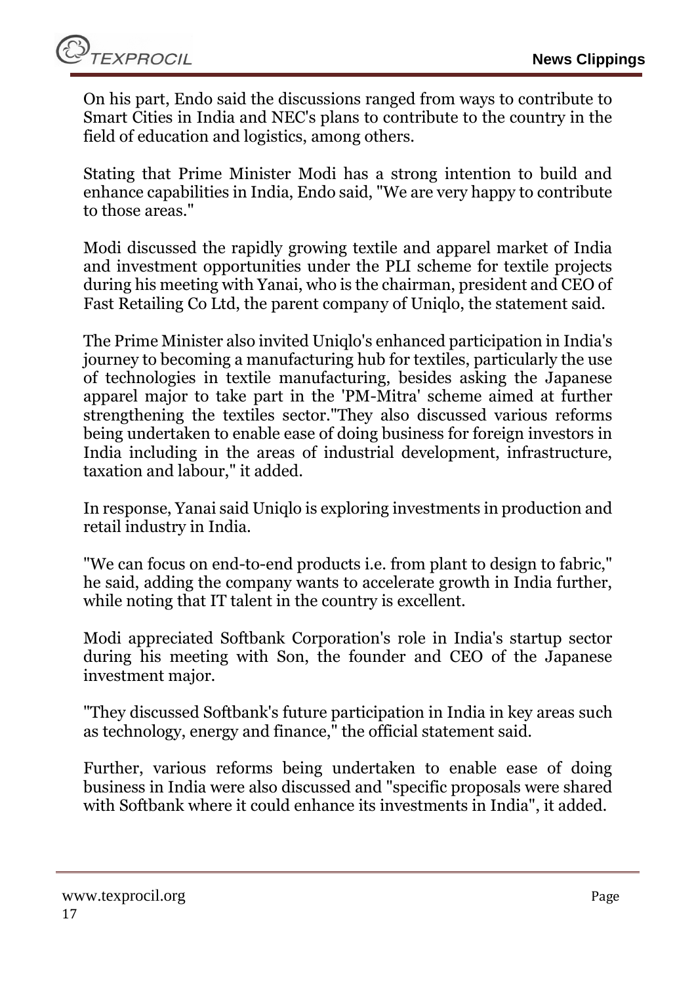TEXPROCIL

On his part, Endo said the discussions ranged from ways to contribute to Smart Cities in India and NEC's plans to contribute to the country in the field of education and logistics, among others.

Stating that Prime Minister Modi has a strong intention to build and enhance capabilities in India, Endo said, "We are very happy to contribute to those areas."

Modi discussed the rapidly growing textile and apparel market of India and investment opportunities under the PLI scheme for textile projects during his meeting with Yanai, who is the chairman, president and CEO of Fast Retailing Co Ltd, the parent company of Uniqlo, the statement said.

The Prime Minister also invited Uniqlo's enhanced participation in India's journey to becoming a manufacturing hub for textiles, particularly the use of technologies in textile manufacturing, besides asking the Japanese apparel major to take part in the 'PM-Mitra' scheme aimed at further strengthening the textiles sector."They also discussed various reforms being undertaken to enable ease of doing business for foreign investors in India including in the areas of industrial development, infrastructure, taxation and labour," it added.

In response, Yanai said Uniqlo is exploring investments in production and retail industry in India.

"We can focus on end-to-end products i.e. from plant to design to fabric," he said, adding the company wants to accelerate growth in India further, while noting that IT talent in the country is excellent.

Modi appreciated Softbank Corporation's role in India's startup sector during his meeting with Son, the founder and CEO of the Japanese investment major.

"They discussed Softbank's future participation in India in key areas such as technology, energy and finance," the official statement said.

Further, various reforms being undertaken to enable ease of doing business in India were also discussed and "specific proposals were shared with Softbank where it could enhance its investments in India", it added.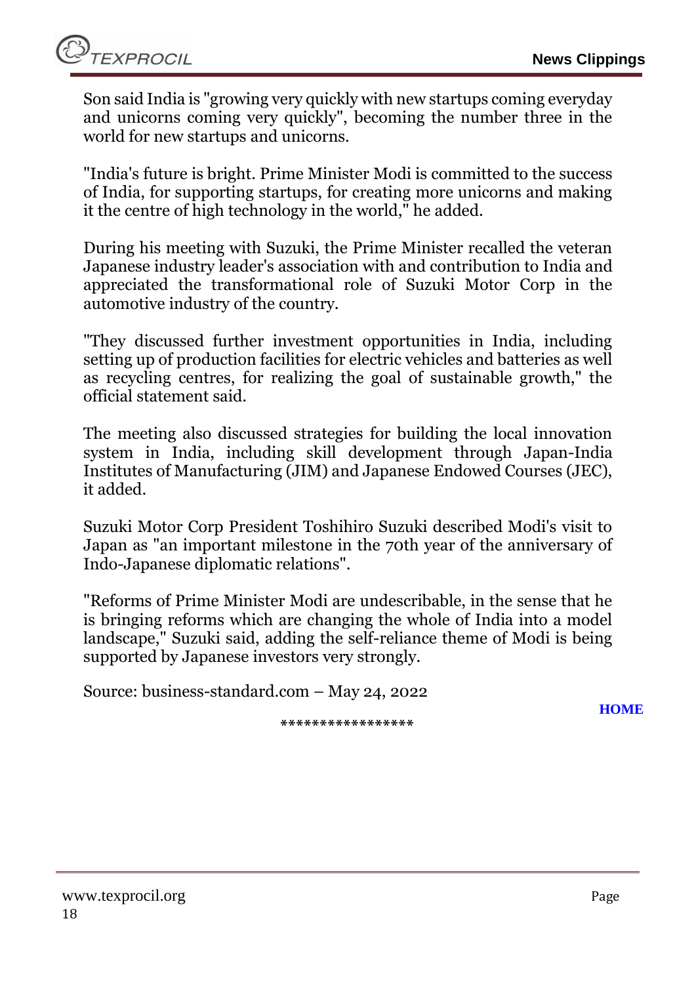Son said India is "growing very quickly with new startups coming everyday and unicorns coming very quickly", becoming the number three in the world for new startups and unicorns.

"India's future is bright. Prime Minister Modi is committed to the success of India, for supporting startups, for creating more unicorns and making it the centre of high technology in the world," he added.

During his meeting with Suzuki, the Prime Minister recalled the veteran Japanese industry leader's association with and contribution to India and appreciated the transformational role of Suzuki Motor Corp in the automotive industry of the country.

"They discussed further investment opportunities in India, including setting up of production facilities for electric vehicles and batteries as well as recycling centres, for realizing the goal of sustainable growth," the official statement said.

The meeting also discussed strategies for building the local innovation system in India, including skill development through Japan-India Institutes of Manufacturing (JIM) and Japanese Endowed Courses (JEC), it added.

Suzuki Motor Corp President Toshihiro Suzuki described Modi's visit to [Japan](https://www.business-standard.com/topic/japan) as "an important milestone in the 70th year of the anniversary of Indo-Japanese diplomatic relations".

"Reforms of Prime Minister Modi are undescribable, in the sense that he is bringing reforms which are changing the whole of India into a model landscape," Suzuki said, adding the self-reliance theme of Modi is being supported by Japanese investors very strongly.

Source: business-standard.com – May 24, 2022

**[HOME](#page-0-0)**

**\*\*\*\*\*\*\*\*\*\*\*\*\*\*\*\*\***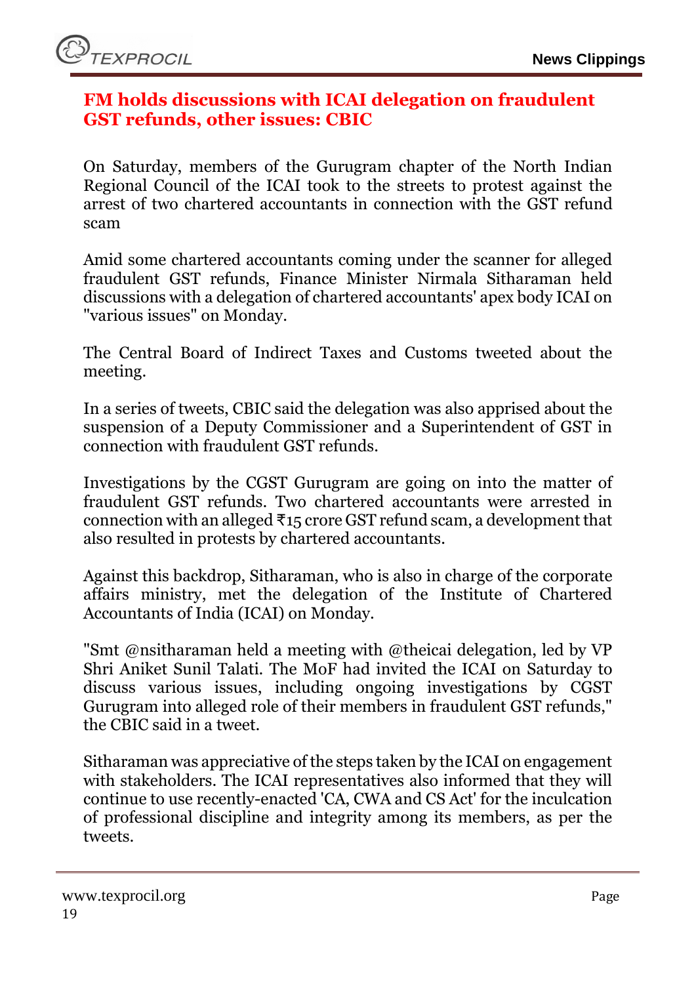#### <span id="page-18-0"></span>**FM holds discussions with ICAI delegation on fraudulent GST refunds, other issues: CBIC**

On Saturday, members of the Gurugram chapter of the North Indian Regional Council of the ICAI took to the streets to protest against the arrest of two chartered accountants in connection with the GST refund scam

Amid some chartered accountants coming under the scanner for alleged fraudulent GST refunds, Finance Minister Nirmala Sitharaman held discussions with a delegation of chartered accountants' apex body ICAI on "various issues" on Monday.

The Central Board of Indirect Taxes and Customs tweeted about the meeting.

In a series of tweets, CBIC said the delegation was also apprised about the suspension of a Deputy Commissioner and a Superintendent of GST in connection with fraudulent GST refunds.

Investigations by the CGST Gurugram are going on into the matter of fraudulent GST refunds. Two chartered accountants were arrested in connection with an alleged  $\overline{\tau}$ 15 crore GST refund scam, a development that also resulted in protests by chartered accountants.

Against this backdrop, Sitharaman, who is also in charge of the corporate affairs ministry, met the delegation of the Institute of Chartered Accountants of India (ICAI) on Monday.

"Smt @nsitharaman held a meeting with @theicai delegation, led by VP Shri Aniket Sunil Talati. The MoF had invited the ICAI on Saturday to discuss various issues, including ongoing investigations by CGST Gurugram into alleged role of their members in fraudulent GST refunds," the CBIC said in a tweet.

Sitharaman was appreciative of the steps taken by the ICAI on engagement with stakeholders. The ICAI representatives also informed that they will continue to use recently-enacted 'CA, CWA and CS Act' for the inculcation of professional discipline and integrity among its members, as per the tweets.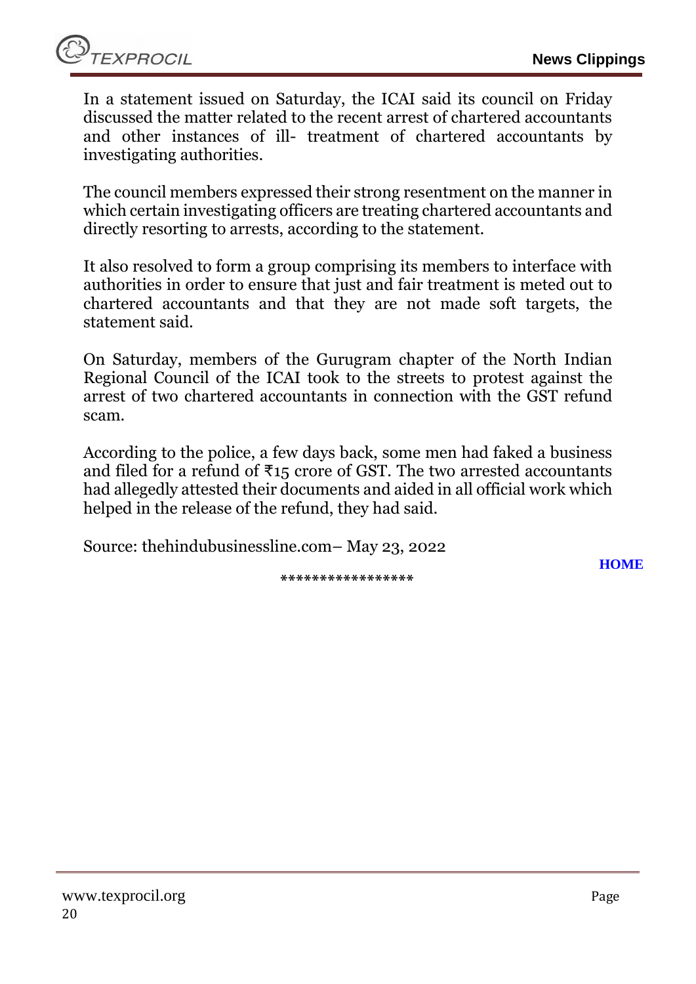In a statement issued on Saturday, the ICAI said its council on Friday discussed the matter related to the recent arrest of chartered accountants and other instances of ill- treatment of chartered accountants by investigating authorities.

The council members expressed their strong resentment on the manner in which certain investigating officers are treating chartered accountants and directly resorting to arrests, according to the statement.

It also resolved to form a group comprising its members to interface with authorities in order to ensure that just and fair treatment is meted out to chartered accountants and that they are not made soft targets, the statement said.

On Saturday, members of the Gurugram chapter of the North Indian Regional Council of the ICAI took to the streets to protest against the arrest of two chartered accountants in connection with the GST refund scam.

According to the police, a few days back, some men had faked a business and filed for a refund of  $\overline{x}$ 15 crore of GST. The two arrested accountants had allegedly attested their documents and aided in all official work which helped in the release of the refund, they had said.

Source: thehindubusinessline.com– May 23, 2022

**\*\*\*\*\*\*\*\*\*\*\*\*\*\*\*\*\***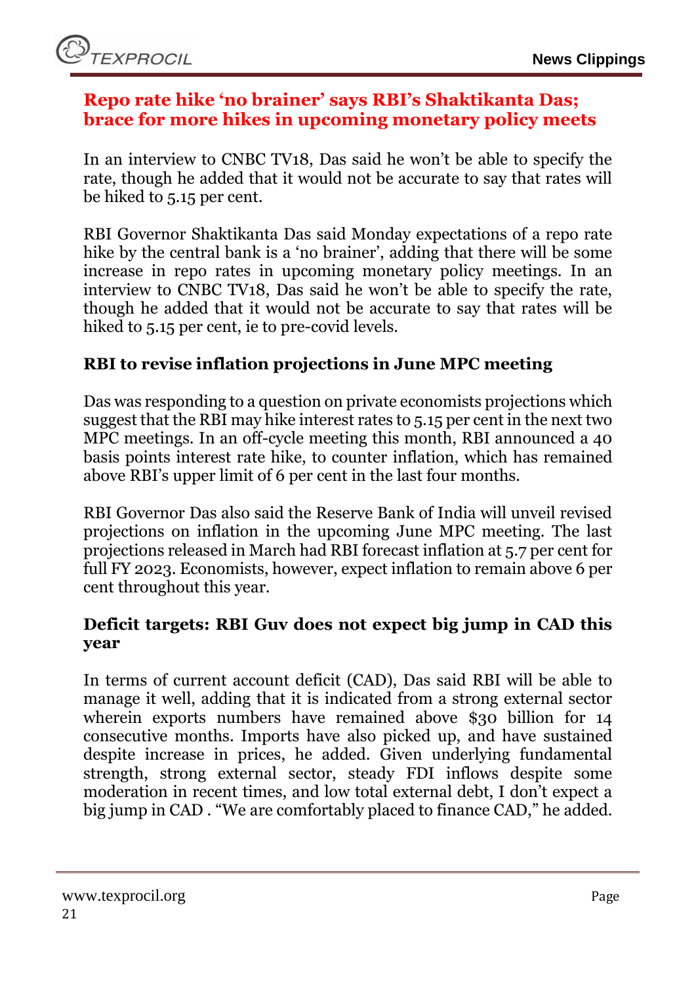#### <span id="page-20-0"></span>**Repo rate hike 'no brainer' says RBI's Shaktikanta Das; brace for more hikes in upcoming monetary policy meets**

In an interview to CNBC TV18, Das said he won't be able to specify the rate, though he added that it would not be accurate to say that rates will be hiked to 5.15 per cent.

[RBI](https://www.financialexpress.com/about/rbi/) Governor Shaktikanta Das said Monday expectations of a repo rate hike by the central bank is a 'no brainer', adding that there will be some increase in repo rates in upcoming monetary policy meetings. In an interview to CNBC TV18, Das said he won't be able to specify the rate, though he added that it would not be accurate to say that rates will be hiked to 5.15 per cent, ie to pre-covid levels.

## **RBI to revise inflation projections in June MPC meeting**

Das was responding to a question on private economists projections which suggest that the RBI may hike interest rates to 5.15 per cent in the next two MPC meetings. In an off-cycle meeting this month, RBI announced a 40 basis points interest rate hike, to counter inflation, which has remained above RBI's upper limit of 6 per cent in the last four months.

RBI Governor Das also said the Reserve Bank of India will unveil revised projections on inflation in the upcoming June MPC meeting. The last projections released in March had RBI forecast inflation at 5.7 per cent for full FY 2023. Economists, however, expect inflation to remain above 6 per cent throughout this year.

#### **Deficit targets: RBI Guv does not expect big jump in CAD this year**

In terms of current account deficit (CAD), Das said RBI will be able to manage it well, adding that it is indicated from a strong external sector wherein exports numbers have remained above \$30 billion for 14 consecutive months. Imports have also picked up, and have sustained despite increase in prices, he added. Given underlying fundamental strength, strong external sector, steady FDI inflows despite some moderation in recent times, and low total external debt, I don't expect a big jump in CAD . "We are comfortably placed to finance CAD," he added.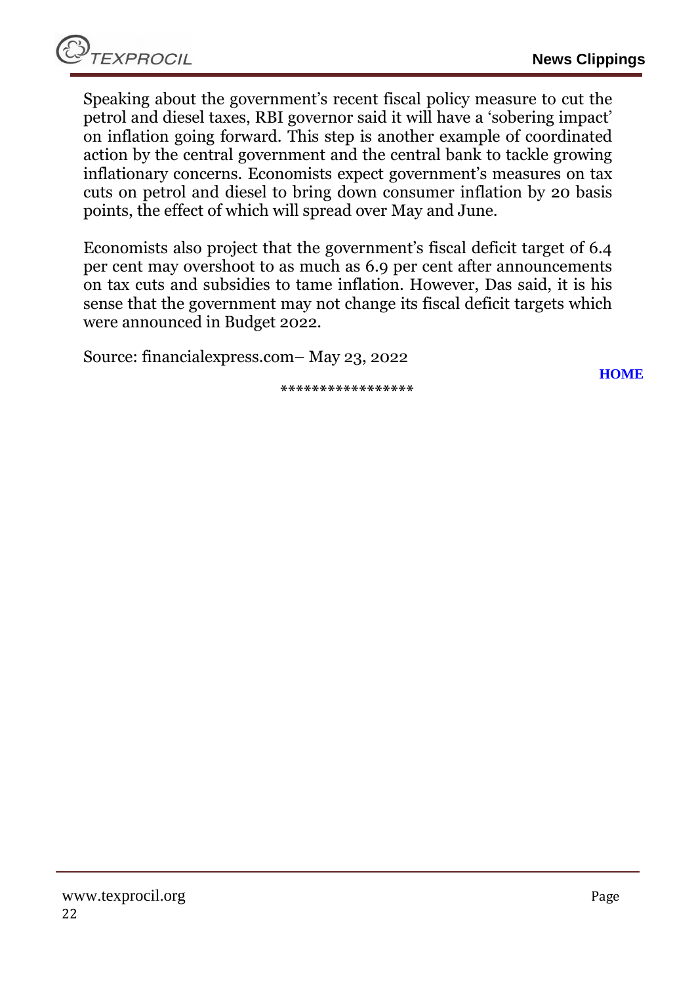Speaking about the government's recent fiscal policy measure to cut the [petrol](https://www.financialexpress.com/about/petrol/) and diesel taxes, RBI governor said it will have a 'sobering impact' on inflation going forward. This step is another example of coordinated action by the central government and the central bank to tackle growing inflationary concerns. Economists expect government's measures on tax cuts on petrol and diesel to bring down consumer inflation by 20 basis points, the effect of which will spread over May and June.

Economists also project that the government's fiscal deficit target of 6.4 per cent may overshoot to as much as 6.9 per cent after announcements on tax cuts and subsidies to tame inflation. However, Das said, it is his sense that the government may not change its fiscal deficit targets which were announced in Budget 2022.

Source: financialexpress.com– May 23, 2022

**\*\*\*\*\*\*\*\*\*\*\*\*\*\*\*\*\***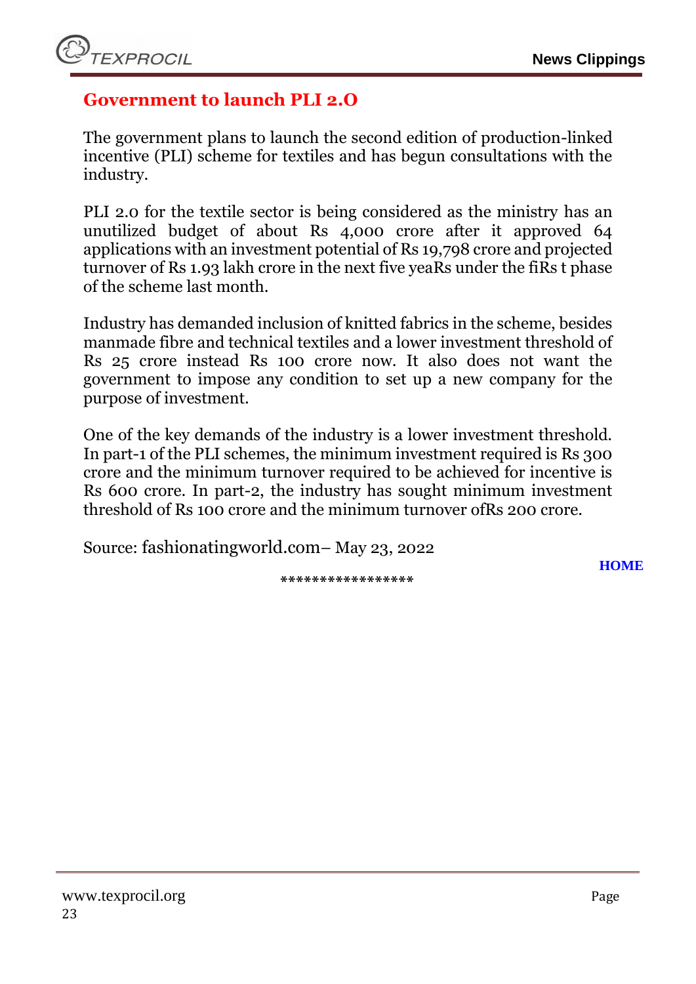## <span id="page-22-0"></span>**Government to launch PLI 2.O**

The government plans to launch the second edition of production-linked incentive (PLI) scheme for textiles and has begun consultations with the industry.

PLI 2.0 for the textile sector is being considered as the ministry has an unutilized budget of about Rs 4,000 crore after it approved 64 applications with an investment potential of Rs 19,798 crore and projected turnover of Rs 1.93 lakh crore in the next five yeaRs under the fiRs t phase of the scheme last month.

Industry has demanded inclusion of knitted fabrics in the scheme, besides manmade fibre and technical textiles and a lower investment threshold of Rs 25 crore instead Rs 100 crore now. It also does not want the government to impose any condition to set up a new company for the purpose of investment.

One of the key demands of the industry is a lower investment threshold. In part-1 of the PLI schemes, the minimum investment required is Rs 300 crore and the minimum turnover required to be achieved for incentive is Rs 600 crore. In part-2, the industry has sought minimum investment threshold of Rs 100 crore and the minimum turnover ofRs 200 crore.

Source: fashionatingworld.com– May 23, 2022

**\*\*\*\*\*\*\*\*\*\*\*\*\*\*\*\*\***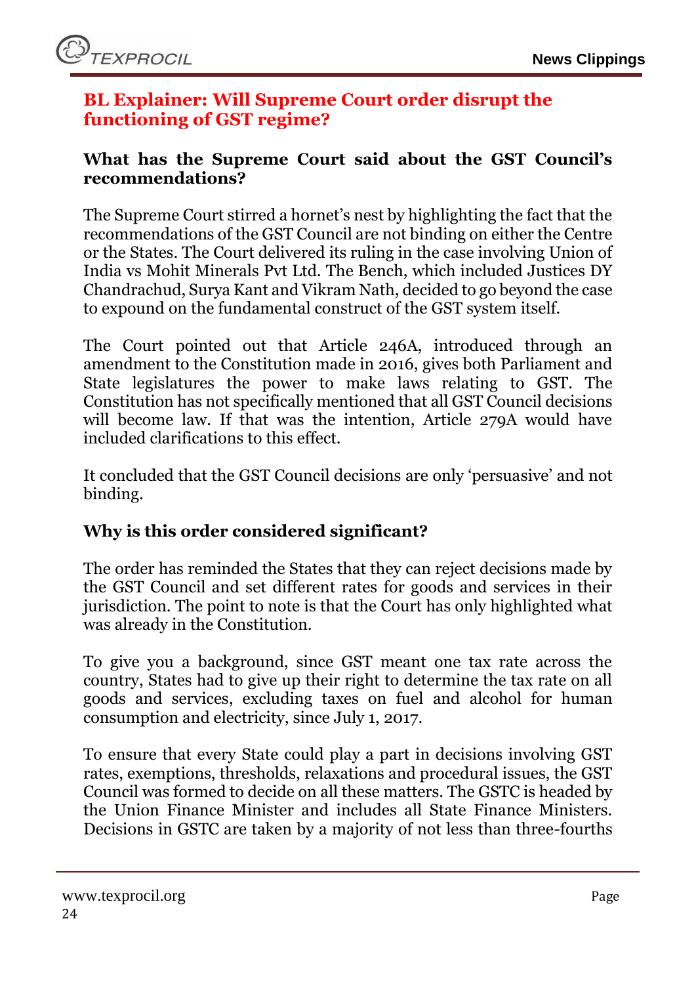## <span id="page-23-0"></span>**BL Explainer: Will Supreme Court order disrupt the functioning of GST regime?**

#### **What has the Supreme Court said about the GST Council's recommendations?**

The Supreme Court stirred a hornet's nest by highlighting the fact that the recommendations of the GST Council are not binding on either the Centre or the States. The Court delivered its ruling in the case involving Union of India vs Mohit Minerals Pvt Ltd. The Bench, which included Justices DY Chandrachud, Surya Kant and Vikram Nath, decided to go beyond the case to expound on the fundamental construct of the GST system itself.

The Court pointed out that Article 246A, introduced through an amendment to the Constitution made in 2016, gives both Parliament and State legislatures the power to make laws relating to GST. The Constitution has not specifically mentioned that all GST Council decisions will become law. If that was the intention, Article 279A would have included clarifications to this effect.

It concluded that the GST Council decisions are only 'persuasive' and not binding.

## **Why is this order considered significant?**

The order has reminded the States that they can reject decisions made by the GST Council and set different rates for goods and services in their jurisdiction. The point to note is that the Court has only highlighted what was already in the Constitution.

To give you a background, since GST meant one tax rate across the country, States had to give up their right to determine the tax rate on all goods and services, excluding taxes on fuel and alcohol for human consumption and electricity, since July 1, 2017.

To ensure that every State could play a part in decisions involving GST rates, exemptions, thresholds, relaxations and procedural issues, the GST Council was formed to decide on all these matters. The GSTC is headed by the Union Finance Minister and includes all State Finance Ministers. Decisions in GSTC are taken by a majority of not less than three-fourths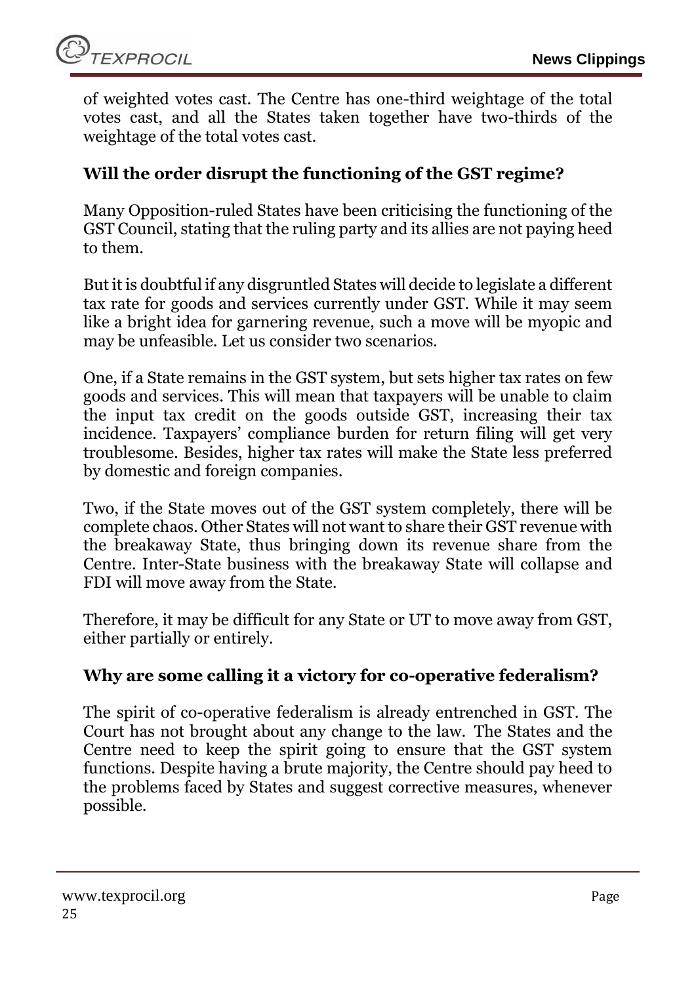of weighted votes cast. The Centre has one-third weightage of the total votes cast, and all the States taken together have two-thirds of the weightage of the total votes cast.

### **Will the order disrupt the functioning of the GST regime?**

Many Opposition-ruled States have been criticising the functioning of the GST Council, stating that the ruling party and its allies are not paying heed to them.

But it is doubtful if any disgruntled States will decide to legislate a different tax rate for goods and services currently under GST. While it may seem like a bright idea for garnering revenue, such a move will be myopic and may be unfeasible. Let us consider two scenarios.

One, if a State remains in the GST system, but sets higher tax rates on few goods and services. This will mean that taxpayers will be unable to claim the input tax credit on the goods outside GST, increasing their tax incidence. Taxpayers' compliance burden for return filing will get very troublesome. Besides, higher tax rates will make the State less preferred by domestic and foreign companies.

Two, if the State moves out of the GST system completely, there will be complete chaos. Other States will not want to share their GST revenue with the breakaway State, thus bringing down its revenue share from the Centre. Inter-State business with the breakaway State will collapse and FDI will move away from the State.

Therefore, it may be difficult for any State or UT to move away from GST, either partially or entirely.

#### **Why are some calling it a victory for co-operative federalism?**

The spirit of co-operative federalism is already entrenched in GST. The Court has not brought about any change to the law. The States and the Centre need to keep the spirit going to ensure that the GST system functions. Despite having a brute majority, the Centre should pay heed to the problems faced by States and suggest corrective measures, whenever possible.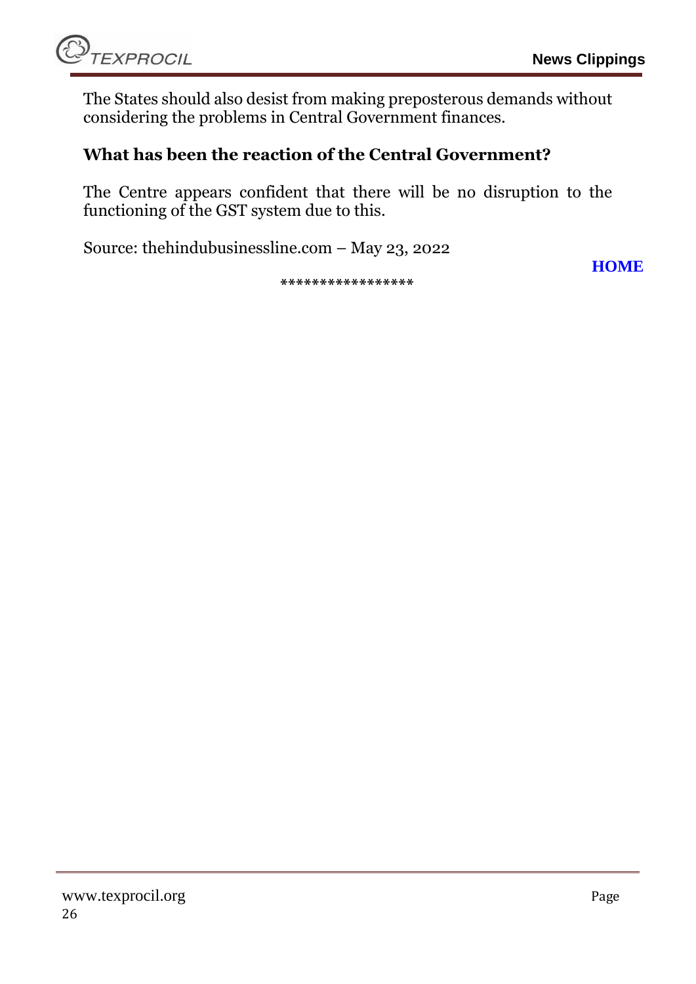The States should also desist from making preposterous demands without considering the problems in Central Government finances.

#### **What has been the reaction of the Central Government?**

The Centre appears confident that there will be no disruption to the functioning of the GST system due to this.

Source: thehindubusinessline.com – May 23, 2022

**\*\*\*\*\*\*\*\*\*\*\*\*\*\*\*\*\***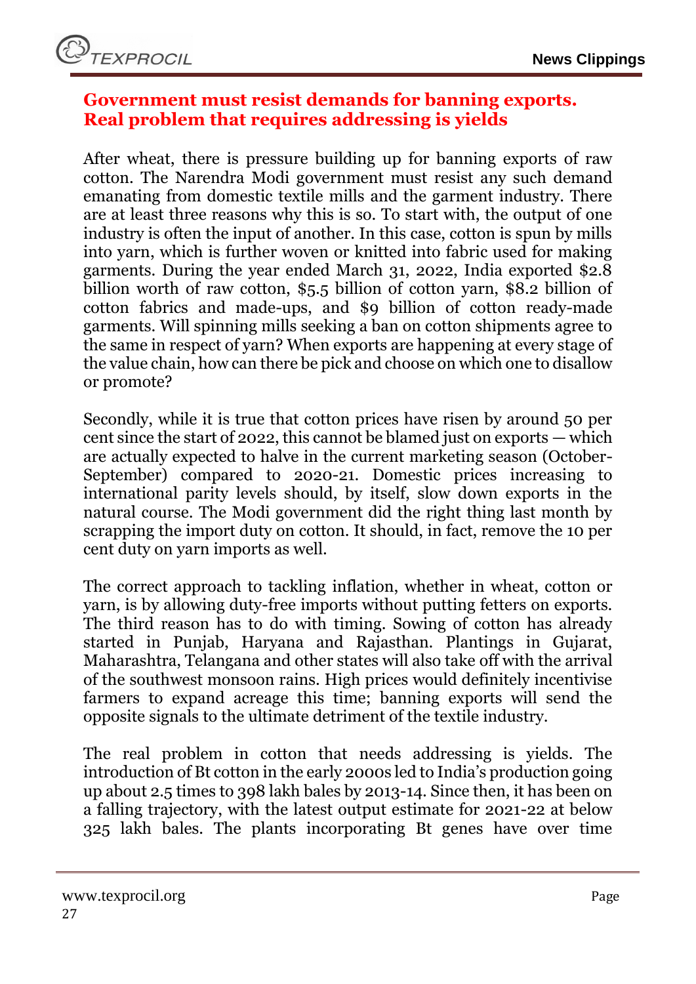#### <span id="page-26-0"></span>**Government must resist demands for banning exports. Real problem that requires addressing is yields**

After wheat, there is pressure building up for banning exports of raw cotton. The [Narendra Modi](https://indianexpress.com/about/narendra-modi/) government must resist any such demand emanating from domestic textile mills and the garment industry. There are at least three reasons why this is so. To start with, the output of one industry is often the input of another. In this case, cotton is spun by mills into yarn, which is further woven or knitted into fabric used for making garments. During the year ended March 31, 2022, India exported \$2.8 billion worth of raw cotton, \$5.5 billion of cotton yarn, \$8.2 billion of cotton fabrics and made-ups, and \$9 billion of cotton ready-made garments. Will spinning mills seeking a ban on cotton shipments agree to the same in respect of yarn? When exports are happening at every stage of the value chain, how can there be pick and choose on which one to disallow or promote?

Secondly, while it is true that cotton prices have risen by around 50 per cent since the start of 2022, this cannot be blamed just on exports — which are actually expected to halve in the current marketing season (October-September) compared to 2020-21. Domestic prices increasing to international parity levels should, by itself, slow down exports in the natural course. The Modi government did the right thing last month by scrapping the import duty on cotton. It should, in fact, remove the 10 per cent duty on yarn imports as well.

The correct approach to tackling [inflation,](https://indianexpress.com/article/explained/everyday-explainers/what-are-wholesale-price-index-consumer-price-index-inflation-rates-7820831/) whether in wheat, cotton or yarn, is by allowing duty-free imports without putting fetters on exports. The third reason has to do with timing. Sowing of cotton has already started in Punjab, Haryana and Rajasthan. Plantings in Gujarat, Maharashtra, Telangana and other states will also take off with the arrival of the southwest monsoon rains. High prices would definitely incentivise farmers to expand acreage this time; banning exports will send the opposite signals to the ultimate detriment of the textile industry.

The real problem in cotton that needs addressing is yields. The introduction of Bt cotton in the early 2000s led to India's production going up about 2.5 times to 398 lakh bales by 2013-14. Since then, it has been on a falling trajectory, with the latest output estimate for 2021-22 at below 325 lakh bales. The plants incorporating Bt genes have over time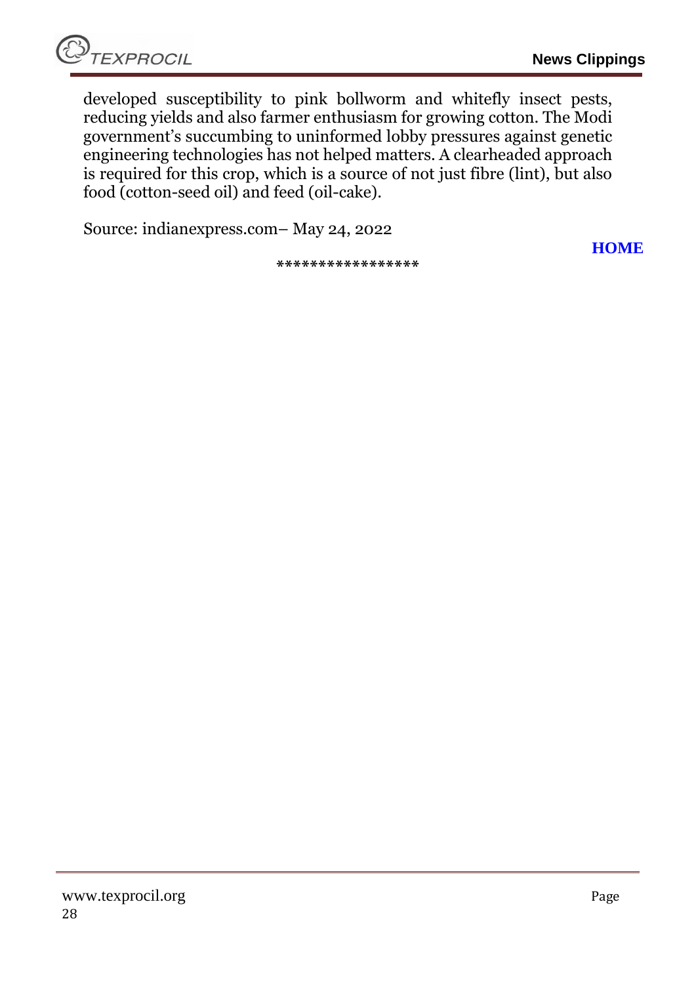developed susceptibility to pink bollworm and whitefly insect pests, reducing yields and also farmer enthusiasm for growing cotton. The Modi government's succumbing to uninformed lobby pressures against genetic engineering technologies has not helped matters. A clearheaded approach is required for this crop, which is a source of not just fibre (lint), but also food (cotton-seed oil) and feed (oil-cake).

Source: indianexpress.com– May 24, 2022

**\*\*\*\*\*\*\*\*\*\*\*\*\*\*\*\*\***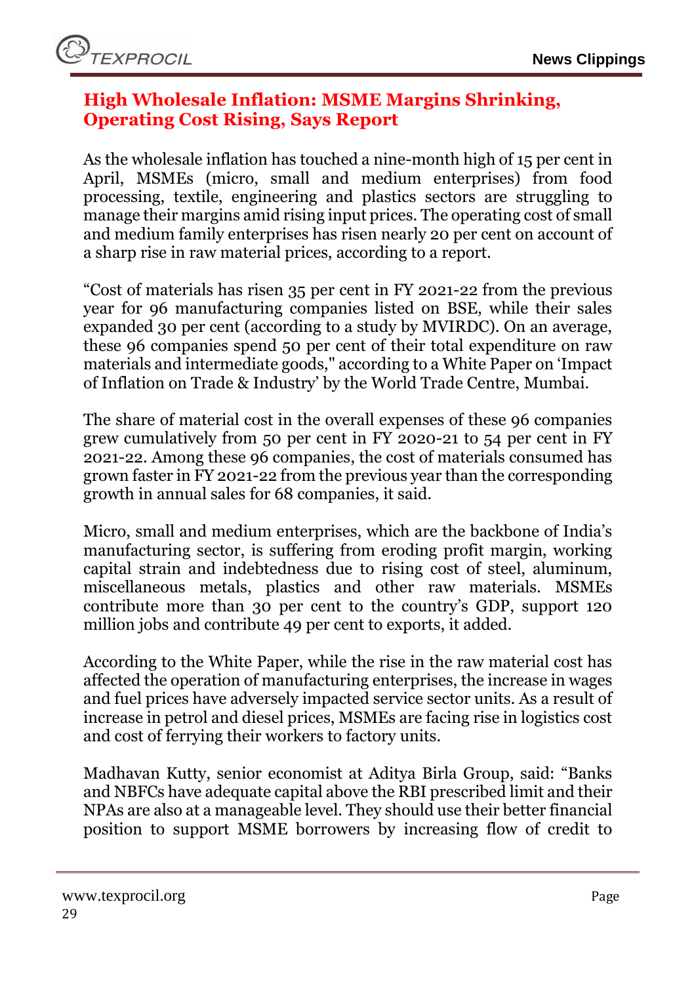## <span id="page-28-0"></span>**High Wholesale Inflation: MSME Margins Shrinking, Operating Cost Rising, Says Report**

As the [wholesale inflation](https://www.news18.com/news/business/wpi-inflation-scales-record-high-of-15-08-in-april-amid-price-rise-across-segments-5190181.html) has touched a nine-month high of 15 per cent in April, MSMEs (micro, small and medium enterprises) from food processing, textile, engineering and plastics sectors are struggling to manage their margins amid rising input prices. The operating cost of small and medium family enterprises has risen nearly 20 per cent on account of a sharp rise in raw material prices, according to a report.

"Cost of materials has risen 35 per cent in FY 2021-22 from the previous year for 96 manufacturing companies listed on BSE, while their sales expanded 30 per cent (according to a study by MVIRDC). On an average, these 96 companies spend 50 per cent of their total expenditure on raw materials and intermediate goods," according to a White Paper on 'Impact of Inflation on Trade & Industry' by the [World](https://www.news18.com/world/) Trade Centre, Mumbai.

The share of material cost in the overall expenses of these 96 companies grew cumulatively from 50 per cent in FY 2020-21 to 54 per cent in FY 2021-22. Among these 96 companies, the cost of materials consumed has grown faster in FY 2021-22 from the previous year than the corresponding growth in annual sales for 68 companies, it said.

Micro, small and medium enterprises, which are the backbone of India's manufacturing sector, is suffering from eroding profit margin, working capital strain and indebtedness due to rising cost of steel, aluminum, miscellaneous metals, plastics and other raw materials. MSMEs contribute more than 30 per cent to the country's GDP, support 120 million jobs and contribute 49 per cent to exports, it added.

According to the White Paper, while the rise in the raw material cost has affected the operation of manufacturing enterprises, the increase in wages and fuel prices have adversely impacted service sector units. As a result of increase in petrol and diesel prices, MSMEs are facing rise in logistics cost and cost of ferrying their workers to factory units.

Madhavan Kutty, senior economist at Aditya Birla Group, said: "Banks and NBFCs have adequate capital above the RBI prescribed limit and their NPAs are also at a manageable level. They should use their better financial position to support MSME borrowers by increasing flow of credit to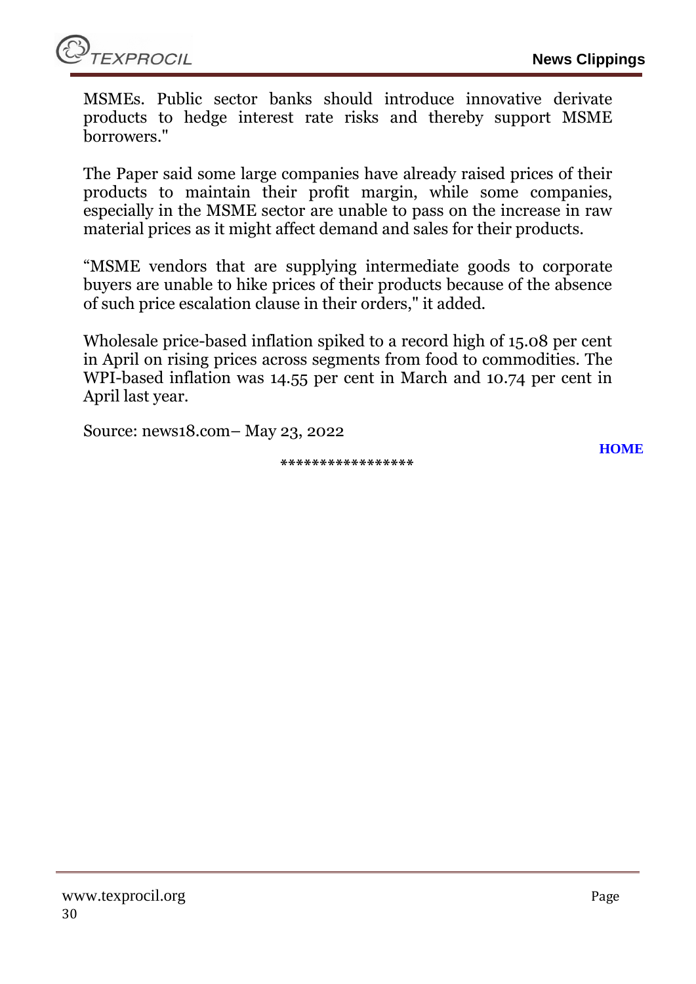

MSMEs. Public sector banks should introduce innovative derivate products to hedge interest rate risks and thereby support MSME borrowers."

The Paper said some large companies have already raised prices of their products to maintain their profit margin, while some companies, especially in the MSME sector are unable to pass on the increase in raw material prices as it might affect demand and sales for their products.

"MSME vendors that are supplying intermediate goods to corporate buyers are unable to hike prices of their products because of the absence of such price escalation clause in their orders," it added.

Wholesale price-based inflation spiked to a record high of 15.08 per cent in April on rising prices across segments from food to commodities. The WPI-based inflation was 14.55 per cent in March and 10.74 per cent in April last year.

Source: news18.com– May 23, 2022

**\*\*\*\*\*\*\*\*\*\*\*\*\*\*\*\*\***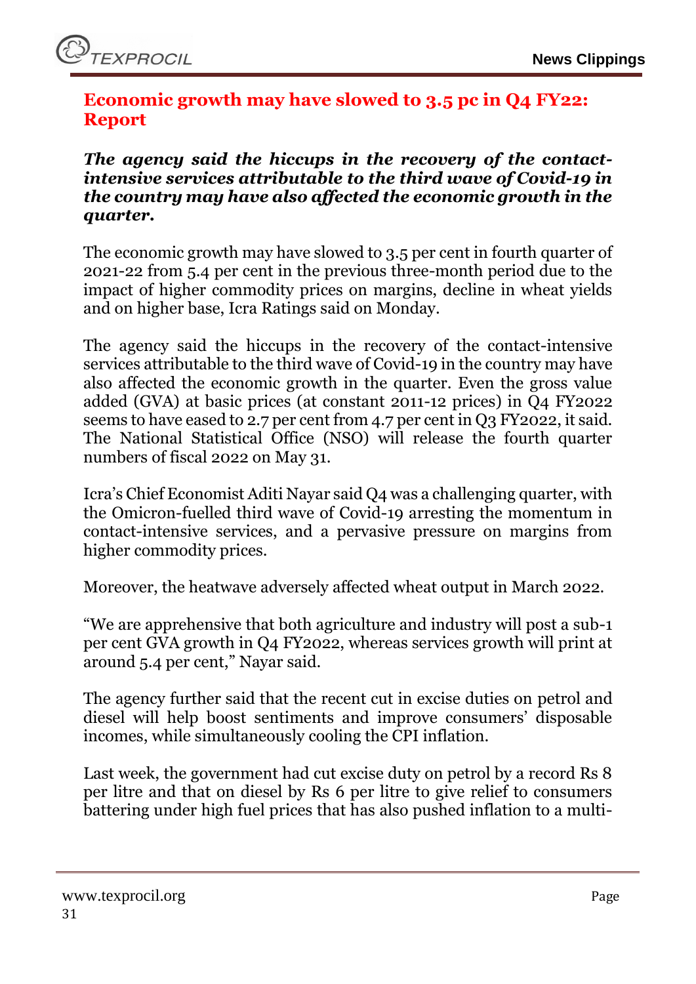## <span id="page-30-0"></span>**Economic growth may have slowed to 3.5 pc in Q4 FY22: Report**

*The agency said the hiccups in the recovery of the contactintensive services attributable to the third wave of Covid-19 in the country may have also affected the economic growth in the quarter.* 

The economic growth may have slowed to 3.5 per cent in fourth quarter of 2021-22 from 5.4 per cent in the previous three-month period due to the impact of higher commodity prices on margins, decline in wheat yields and on higher base, Icra Ratings said on Monday.

The agency said the hiccups in the recovery of the contact-intensive services attributable to the third wave of Covid-19 in the country may have also affected the economic growth in the quarter. Even the gross value added (GVA) at basic prices (at constant 2011-12 prices) in Q4 FY2022 seems to have eased to 2.7 per cent from 4.7 per cent in Q3 FY2022, it said. The National Statistical Office (NSO) will release the fourth quarter numbers of fiscal 2022 on May 31.

Icra's Chief Economist Aditi Nayar said Q4 was a challenging quarter, with the Omicron-fuelled third wave of Covid-19 arresting the momentum in contact-intensive services, and a pervasive pressure on margins from higher commodity prices.

Moreover, the heatwave adversely affected wheat output in March 2022.

"We are apprehensive that both agriculture and industry will post a sub-1 per cent GVA growth in Q4 FY2022, whereas services growth will print at around 5.4 per cent," Nayar said.

The agency further said that the recent cut in excise duties on [petrol](https://www.financialexpress.com/about/petrol/) and diesel will help boost sentiments and improve consumers' disposable incomes, while simultaneously cooling the CPI inflation.

Last week, the government had cut excise duty on petrol by a record Rs 8 per litre and that on diesel by Rs 6 per litre to give relief to consumers battering under high fuel prices that has also pushed inflation to a multi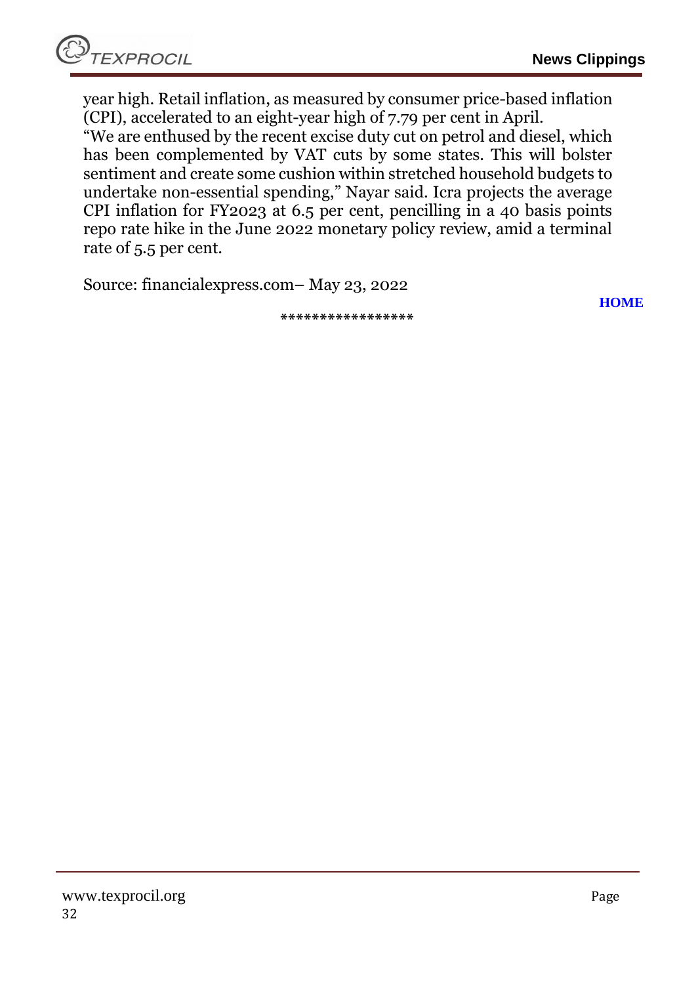year high. Retail inflation, as measured by consumer price-based inflation (CPI), accelerated to an eight-year high of 7.79 per cent in April.

"We are enthused by the recent excise duty cut on petrol and diesel, which has been complemented by VAT cuts by some states. This will bolster sentiment and create some cushion within stretched household budgets to undertake non-essential spending," Nayar said. Icra projects the average CPI inflation for FY2023 at 6.5 per cent, pencilling in a 40 basis points repo rate hike in the June 2022 monetary policy review, amid a terminal rate of 5.5 per cent.

Source: financialexpress.com– May 23, 2022

**[HOME](#page-0-0)**

**\*\*\*\*\*\*\*\*\*\*\*\*\*\*\*\*\***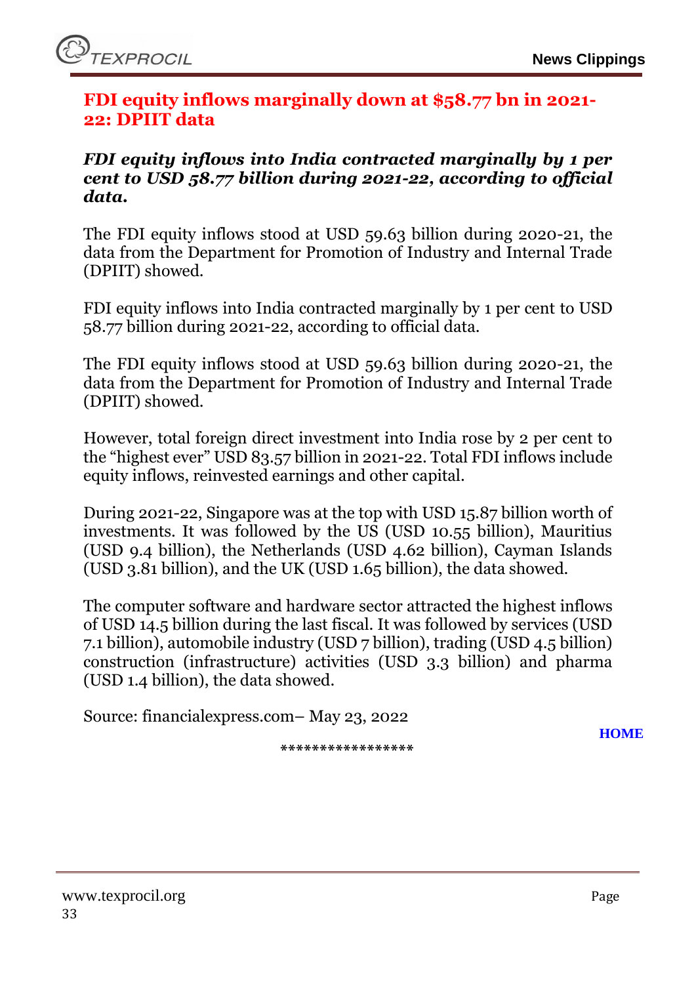#### <span id="page-32-0"></span>**FDI equity inflows marginally down at \$58.77 bn in 2021- 22: DPIIT data**

#### *FDI equity inflows into India contracted marginally by 1 per cent to USD 58.77 billion during 2021-22, according to official data.*

The FDI equity inflows stood at USD 59.63 billion during 2020-21, the data from the Department for Promotion of Industry and Internal Trade (DPIIT) showed.

FDI equity inflows into India contracted marginally by 1 per cent to USD 58.77 billion during 2021-22, according to official data.

The FDI equity inflows stood at USD 59.63 billion during 2020-21, the data from the Department for Promotion of Industry and Internal Trade (DPIIT) showed.

However, total foreign direct investment into India rose by 2 per cent to the "highest ever" USD 83.57 billion in 2021-22. Total FDI inflows include equity inflows, reinvested earnings and other capital.

During 2021-22, Singapore was at the top with USD 15.87 billion worth of investments. It was followed by the US (USD 10.55 billion), Mauritius (USD 9.4 billion), the Netherlands (USD 4.62 billion), Cayman Islands (USD 3.81 billion), and the UK (USD 1.65 billion), the data showed.

The computer software and hardware sector attracted the highest inflows of USD 14.5 billion during the last fiscal. It was followed by services (USD 7.1 billion), automobile industry (USD 7 billion), trading (USD 4.5 billion) construction (infrastructure) activities (USD 3.3 billion) and pharma (USD 1.4 billion), the data showed.

Source: financialexpress.com– May 23, 2022

**\*\*\*\*\*\*\*\*\*\*\*\*\*\*\*\*\***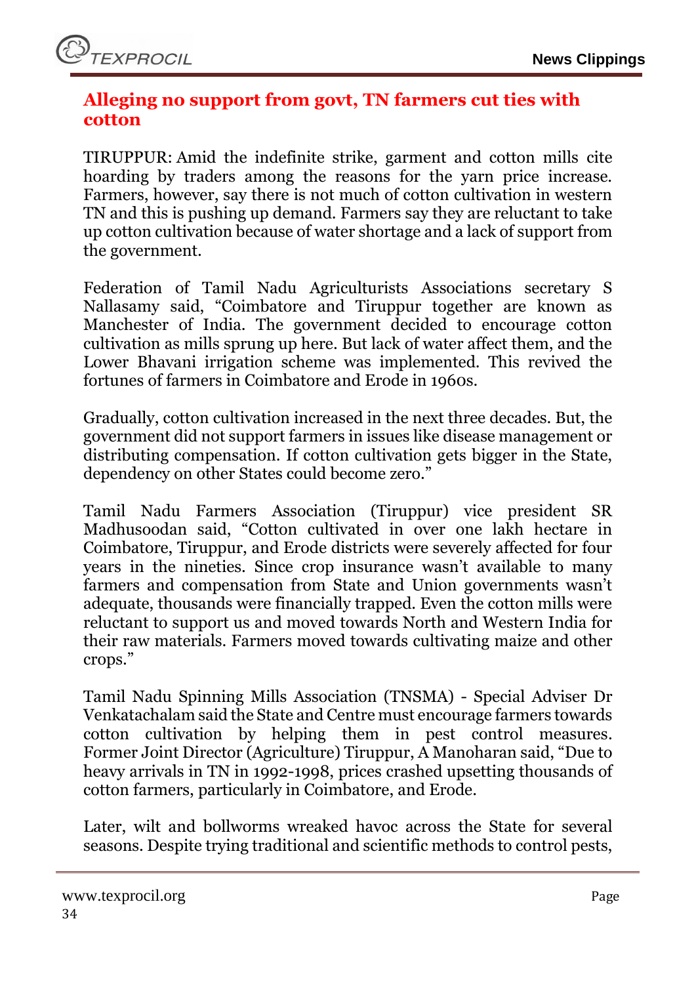## <span id="page-33-0"></span>**Alleging no support from govt, TN farmers cut ties with cotton**

TIRUPPUR: Amid the indefinite strike, garment and cotton mills cite hoarding by traders among the reasons for the yarn price increase. Farmers, however, say there is not much of cotton cultivation in western TN and this is pushing up demand. Farmers say they are reluctant to take up cotton cultivation because of water shortage and a lack of support from the government.

Federation of Tamil Nadu Agriculturists Associations secretary S Nallasamy said, "Coimbatore and Tiruppur together are known as Manchester of India. The government decided to encourage cotton cultivation as mills sprung up here. But lack of water affect them, and the Lower Bhavani irrigation scheme was implemented. This revived the fortunes of farmers in Coimbatore and Erode in 1960s.

Gradually, cotton cultivation increased in the next three decades. But, the government did not support farmers in issues like disease management or distributing compensation. If cotton cultivation gets bigger in the State, dependency on other States could become zero."

Tamil Nadu Farmers Association (Tiruppur) vice president SR Madhusoodan said, "Cotton cultivated in over one lakh hectare in Coimbatore, Tiruppur, and Erode districts were severely affected for four years in the nineties. Since crop insurance wasn't available to many farmers and compensation from State and Union governments wasn't adequate, thousands were financially trapped. Even the cotton mills were reluctant to support us and moved towards North and Western India for their raw materials. Farmers moved towards cultivating maize and other crops."

Tamil Nadu Spinning Mills Association (TNSMA) - Special Adviser Dr Venkatachalam said the State and Centre must encourage farmers towards cotton cultivation by helping them in pest control measures. Former Joint Director (Agriculture) Tiruppur, A Manoharan said, "Due to heavy arrivals in TN in 1992-1998, prices crashed upsetting thousands of cotton farmers, particularly in Coimbatore, and Erode.

Later, wilt and bollworms wreaked havoc across the State for several seasons. Despite trying traditional and scientific methods to control pests,